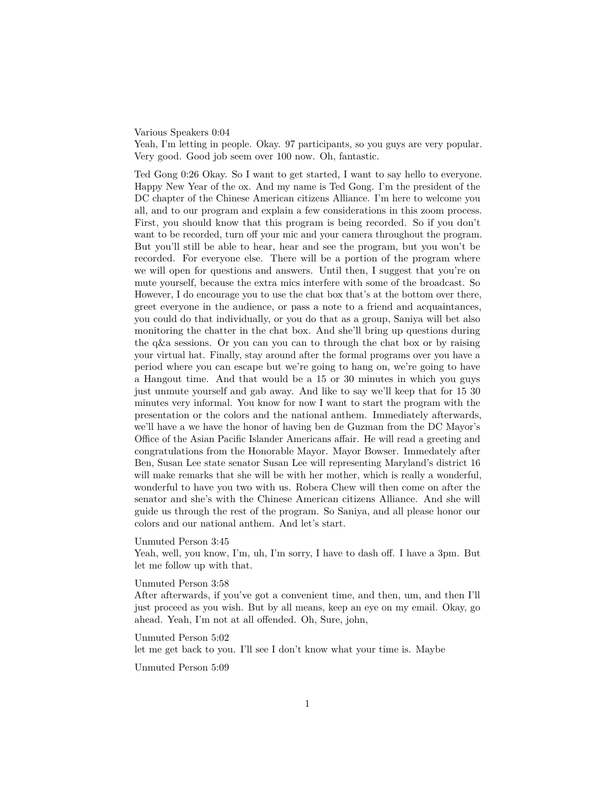## Various Speakers 0:04

Yeah, I'm letting in people. Okay. 97 participants, so you guys are very popular. Very good. Good job seem over 100 now. Oh, fantastic.

Ted Gong 0:26 Okay. So I want to get started, I want to say hello to everyone. Happy New Year of the ox. And my name is Ted Gong. I'm the president of the DC chapter of the Chinese American citizens Alliance. I'm here to welcome you all, and to our program and explain a few considerations in this zoom process. First, you should know that this program is being recorded. So if you don't want to be recorded, turn off your mic and your camera throughout the program. But you'll still be able to hear, hear and see the program, but you won't be recorded. For everyone else. There will be a portion of the program where we will open for questions and answers. Until then, I suggest that you're on mute yourself, because the extra mics interfere with some of the broadcast. So However, I do encourage you to use the chat box that's at the bottom over there, greet everyone in the audience, or pass a note to a friend and acquaintances, you could do that individually, or you do that as a group, Saniya will bet also monitoring the chatter in the chat box. And she'll bring up questions during the q&a sessions. Or you can you can to through the chat box or by raising your virtual hat. Finally, stay around after the formal programs over you have a period where you can escape but we're going to hang on, we're going to have a Hangout time. And that would be a 15 or 30 minutes in which you guys just unmute yourself and gab away. And like to say we'll keep that for 15 30 minutes very informal. You know for now I want to start the program with the presentation or the colors and the national anthem. Immediately afterwards, we'll have a we have the honor of having ben de Guzman from the DC Mayor's Office of the Asian Pacific Islander Americans affair. He will read a greeting and congratulations from the Honorable Mayor. Mayor Bowser. Immedately after Ben, Susan Lee state senator Susan Lee will representing Maryland's district 16 will make remarks that she will be with her mother, which is really a wonderful, wonderful to have you two with us. Robera Chew will then come on after the senator and she's with the Chinese American citizens Alliance. And she will guide us through the rest of the program. So Saniya, and all please honor our colors and our national anthem. And let's start.

# Unmuted Person 3:45

Yeah, well, you know, I'm, uh, I'm sorry, I have to dash off. I have a 3pm. But let me follow up with that.

### Unmuted Person 3:58

After afterwards, if you've got a convenient time, and then, um, and then I'll just proceed as you wish. But by all means, keep an eye on my email. Okay, go ahead. Yeah, I'm not at all offended. Oh, Sure, john,

Unmuted Person 5:02 let me get back to you. I'll see I don't know what your time is. Maybe

Unmuted Person 5:09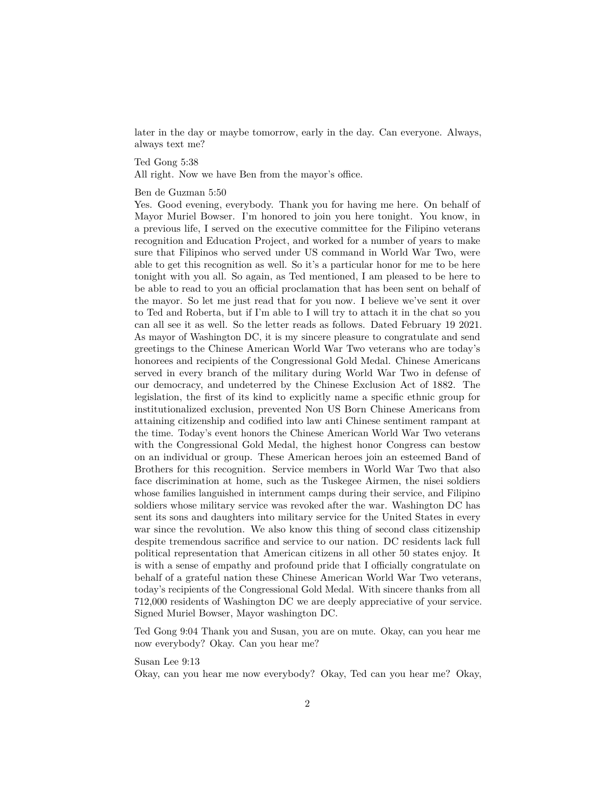later in the day or maybe tomorrow, early in the day. Can everyone. Always, always text me?

Ted Gong 5:38

All right. Now we have Ben from the mayor's office.

# Ben de Guzman 5:50

Yes. Good evening, everybody. Thank you for having me here. On behalf of Mayor Muriel Bowser. I'm honored to join you here tonight. You know, in a previous life, I served on the executive committee for the Filipino veterans recognition and Education Project, and worked for a number of years to make sure that Filipinos who served under US command in World War Two, were able to get this recognition as well. So it's a particular honor for me to be here tonight with you all. So again, as Ted mentioned, I am pleased to be here to be able to read to you an official proclamation that has been sent on behalf of the mayor. So let me just read that for you now. I believe we've sent it over to Ted and Roberta, but if I'm able to I will try to attach it in the chat so you can all see it as well. So the letter reads as follows. Dated February 19 2021. As mayor of Washington DC, it is my sincere pleasure to congratulate and send greetings to the Chinese American World War Two veterans who are today's honorees and recipients of the Congressional Gold Medal. Chinese Americans served in every branch of the military during World War Two in defense of our democracy, and undeterred by the Chinese Exclusion Act of 1882. The legislation, the first of its kind to explicitly name a specific ethnic group for institutionalized exclusion, prevented Non US Born Chinese Americans from attaining citizenship and codified into law anti Chinese sentiment rampant at the time. Today's event honors the Chinese American World War Two veterans with the Congressional Gold Medal, the highest honor Congress can bestow on an individual or group. These American heroes join an esteemed Band of Brothers for this recognition. Service members in World War Two that also face discrimination at home, such as the Tuskegee Airmen, the nisei soldiers whose families languished in internment camps during their service, and Filipino soldiers whose military service was revoked after the war. Washington DC has sent its sons and daughters into military service for the United States in every war since the revolution. We also know this thing of second class citizenship despite tremendous sacrifice and service to our nation. DC residents lack full political representation that American citizens in all other 50 states enjoy. It is with a sense of empathy and profound pride that I officially congratulate on behalf of a grateful nation these Chinese American World War Two veterans, today's recipients of the Congressional Gold Medal. With sincere thanks from all 712,000 residents of Washington DC we are deeply appreciative of your service. Signed Muriel Bowser, Mayor washington DC.

Ted Gong 9:04 Thank you and Susan, you are on mute. Okay, can you hear me now everybody? Okay. Can you hear me?

Susan Lee 9:13

Okay, can you hear me now everybody? Okay, Ted can you hear me? Okay,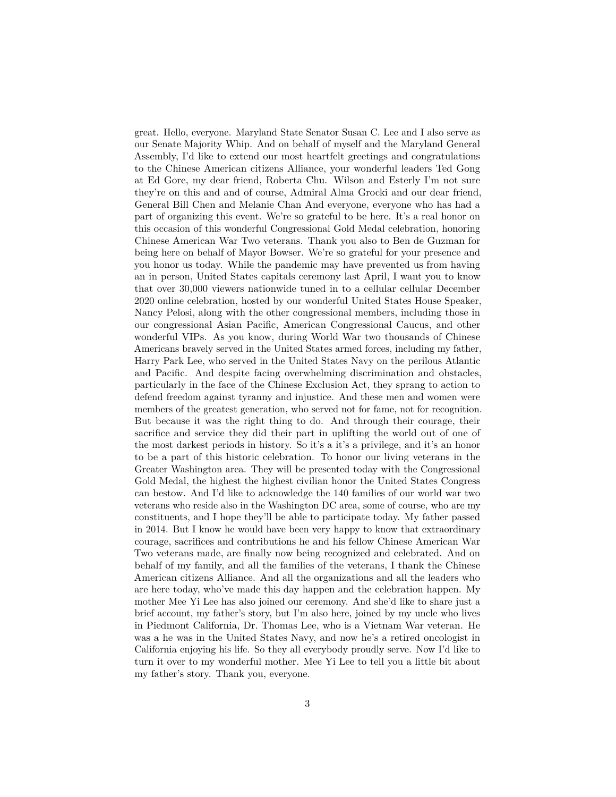great. Hello, everyone. Maryland State Senator Susan C. Lee and I also serve as our Senate Majority Whip. And on behalf of myself and the Maryland General Assembly, I'd like to extend our most heartfelt greetings and congratulations to the Chinese American citizens Alliance, your wonderful leaders Ted Gong at Ed Gore, my dear friend, Roberta Chu. Wilson and Esterly I'm not sure they're on this and and of course, Admiral Alma Grocki and our dear friend, General Bill Chen and Melanie Chan And everyone, everyone who has had a part of organizing this event. We're so grateful to be here. It's a real honor on this occasion of this wonderful Congressional Gold Medal celebration, honoring Chinese American War Two veterans. Thank you also to Ben de Guzman for being here on behalf of Mayor Bowser. We're so grateful for your presence and you honor us today. While the pandemic may have prevented us from having an in person, United States capitals ceremony last April, I want you to know that over 30,000 viewers nationwide tuned in to a cellular cellular December 2020 online celebration, hosted by our wonderful United States House Speaker, Nancy Pelosi, along with the other congressional members, including those in our congressional Asian Pacific, American Congressional Caucus, and other wonderful VIPs. As you know, during World War two thousands of Chinese Americans bravely served in the United States armed forces, including my father, Harry Park Lee, who served in the United States Navy on the perilous Atlantic and Pacific. And despite facing overwhelming discrimination and obstacles, particularly in the face of the Chinese Exclusion Act, they sprang to action to defend freedom against tyranny and injustice. And these men and women were members of the greatest generation, who served not for fame, not for recognition. But because it was the right thing to do. And through their courage, their sacrifice and service they did their part in uplifting the world out of one of the most darkest periods in history. So it's a it's a privilege, and it's an honor to be a part of this historic celebration. To honor our living veterans in the Greater Washington area. They will be presented today with the Congressional Gold Medal, the highest the highest civilian honor the United States Congress can bestow. And I'd like to acknowledge the 140 families of our world war two veterans who reside also in the Washington DC area, some of course, who are my constituents, and I hope they'll be able to participate today. My father passed in 2014. But I know he would have been very happy to know that extraordinary courage, sacrifices and contributions he and his fellow Chinese American War Two veterans made, are finally now being recognized and celebrated. And on behalf of my family, and all the families of the veterans, I thank the Chinese American citizens Alliance. And all the organizations and all the leaders who are here today, who've made this day happen and the celebration happen. My mother Mee Yi Lee has also joined our ceremony. And she'd like to share just a brief account, my father's story, but I'm also here, joined by my uncle who lives in Piedmont California, Dr. Thomas Lee, who is a Vietnam War veteran. He was a he was in the United States Navy, and now he's a retired oncologist in California enjoying his life. So they all everybody proudly serve. Now I'd like to turn it over to my wonderful mother. Mee Yi Lee to tell you a little bit about my father's story. Thank you, everyone.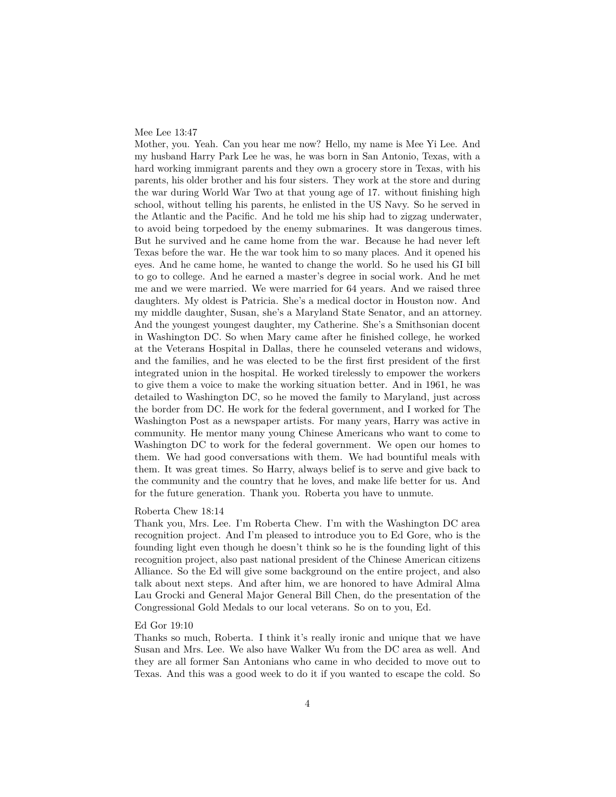### Mee Lee 13:47

Mother, you. Yeah. Can you hear me now? Hello, my name is Mee Yi Lee. And my husband Harry Park Lee he was, he was born in San Antonio, Texas, with a hard working immigrant parents and they own a grocery store in Texas, with his parents, his older brother and his four sisters. They work at the store and during the war during World War Two at that young age of 17. without finishing high school, without telling his parents, he enlisted in the US Navy. So he served in the Atlantic and the Pacific. And he told me his ship had to zigzag underwater, to avoid being torpedoed by the enemy submarines. It was dangerous times. But he survived and he came home from the war. Because he had never left Texas before the war. He the war took him to so many places. And it opened his eyes. And he came home, he wanted to change the world. So he used his GI bill to go to college. And he earned a master's degree in social work. And he met me and we were married. We were married for 64 years. And we raised three daughters. My oldest is Patricia. She's a medical doctor in Houston now. And my middle daughter, Susan, she's a Maryland State Senator, and an attorney. And the youngest youngest daughter, my Catherine. She's a Smithsonian docent in Washington DC. So when Mary came after he finished college, he worked at the Veterans Hospital in Dallas, there he counseled veterans and widows, and the families, and he was elected to be the first first president of the first integrated union in the hospital. He worked tirelessly to empower the workers to give them a voice to make the working situation better. And in 1961, he was detailed to Washington DC, so he moved the family to Maryland, just across the border from DC. He work for the federal government, and I worked for The Washington Post as a newspaper artists. For many years, Harry was active in community. He mentor many young Chinese Americans who want to come to Washington DC to work for the federal government. We open our homes to them. We had good conversations with them. We had bountiful meals with them. It was great times. So Harry, always belief is to serve and give back to the community and the country that he loves, and make life better for us. And for the future generation. Thank you. Roberta you have to unmute.

#### Roberta Chew 18:14

Thank you, Mrs. Lee. I'm Roberta Chew. I'm with the Washington DC area recognition project. And I'm pleased to introduce you to Ed Gore, who is the founding light even though he doesn't think so he is the founding light of this recognition project, also past national president of the Chinese American citizens Alliance. So the Ed will give some background on the entire project, and also talk about next steps. And after him, we are honored to have Admiral Alma Lau Grocki and General Major General Bill Chen, do the presentation of the Congressional Gold Medals to our local veterans. So on to you, Ed.

# Ed Gor 19:10

Thanks so much, Roberta. I think it's really ironic and unique that we have Susan and Mrs. Lee. We also have Walker Wu from the DC area as well. And they are all former San Antonians who came in who decided to move out to Texas. And this was a good week to do it if you wanted to escape the cold. So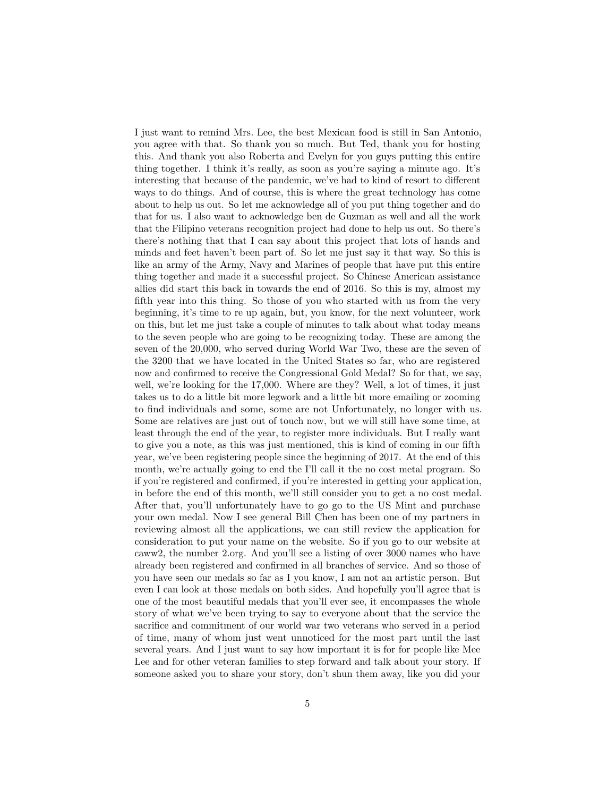I just want to remind Mrs. Lee, the best Mexican food is still in San Antonio, you agree with that. So thank you so much. But Ted, thank you for hosting this. And thank you also Roberta and Evelyn for you guys putting this entire thing together. I think it's really, as soon as you're saying a minute ago. It's interesting that because of the pandemic, we've had to kind of resort to different ways to do things. And of course, this is where the great technology has come about to help us out. So let me acknowledge all of you put thing together and do that for us. I also want to acknowledge ben de Guzman as well and all the work that the Filipino veterans recognition project had done to help us out. So there's there's nothing that that I can say about this project that lots of hands and minds and feet haven't been part of. So let me just say it that way. So this is like an army of the Army, Navy and Marines of people that have put this entire thing together and made it a successful project. So Chinese American assistance allies did start this back in towards the end of 2016. So this is my, almost my fifth year into this thing. So those of you who started with us from the very beginning, it's time to re up again, but, you know, for the next volunteer, work on this, but let me just take a couple of minutes to talk about what today means to the seven people who are going to be recognizing today. These are among the seven of the 20,000, who served during World War Two, these are the seven of the 3200 that we have located in the United States so far, who are registered now and confirmed to receive the Congressional Gold Medal? So for that, we say, well, we're looking for the 17,000. Where are they? Well, a lot of times, it just takes us to do a little bit more legwork and a little bit more emailing or zooming to find individuals and some, some are not Unfortunately, no longer with us. Some are relatives are just out of touch now, but we will still have some time, at least through the end of the year, to register more individuals. But I really want to give you a note, as this was just mentioned, this is kind of coming in our fifth year, we've been registering people since the beginning of 2017. At the end of this month, we're actually going to end the I'll call it the no cost metal program. So if you're registered and confirmed, if you're interested in getting your application, in before the end of this month, we'll still consider you to get a no cost medal. After that, you'll unfortunately have to go go to the US Mint and purchase your own medal. Now I see general Bill Chen has been one of my partners in reviewing almost all the applications, we can still review the application for consideration to put your name on the website. So if you go to our website at caww2, the number 2.org. And you'll see a listing of over 3000 names who have already been registered and confirmed in all branches of service. And so those of you have seen our medals so far as I you know, I am not an artistic person. But even I can look at those medals on both sides. And hopefully you'll agree that is one of the most beautiful medals that you'll ever see, it encompasses the whole story of what we've been trying to say to everyone about that the service the sacrifice and commitment of our world war two veterans who served in a period of time, many of whom just went unnoticed for the most part until the last several years. And I just want to say how important it is for for people like Mee Lee and for other veteran families to step forward and talk about your story. If someone asked you to share your story, don't shun them away, like you did your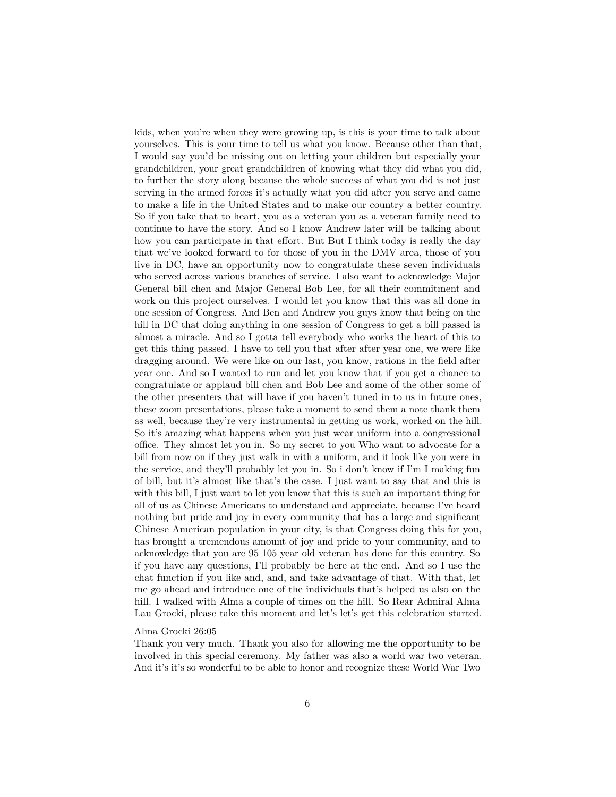kids, when you're when they were growing up, is this is your time to talk about yourselves. This is your time to tell us what you know. Because other than that, I would say you'd be missing out on letting your children but especially your grandchildren, your great grandchildren of knowing what they did what you did, to further the story along because the whole success of what you did is not just serving in the armed forces it's actually what you did after you serve and came to make a life in the United States and to make our country a better country. So if you take that to heart, you as a veteran you as a veteran family need to continue to have the story. And so I know Andrew later will be talking about how you can participate in that effort. But But I think today is really the day that we've looked forward to for those of you in the DMV area, those of you live in DC, have an opportunity now to congratulate these seven individuals who served across various branches of service. I also want to acknowledge Major General bill chen and Major General Bob Lee, for all their commitment and work on this project ourselves. I would let you know that this was all done in one session of Congress. And Ben and Andrew you guys know that being on the hill in DC that doing anything in one session of Congress to get a bill passed is almost a miracle. And so I gotta tell everybody who works the heart of this to get this thing passed. I have to tell you that after after year one, we were like dragging around. We were like on our last, you know, rations in the field after year one. And so I wanted to run and let you know that if you get a chance to congratulate or applaud bill chen and Bob Lee and some of the other some of the other presenters that will have if you haven't tuned in to us in future ones, these zoom presentations, please take a moment to send them a note thank them as well, because they're very instrumental in getting us work, worked on the hill. So it's amazing what happens when you just wear uniform into a congressional office. They almost let you in. So my secret to you Who want to advocate for a bill from now on if they just walk in with a uniform, and it look like you were in the service, and they'll probably let you in. So i don't know if I'm I making fun of bill, but it's almost like that's the case. I just want to say that and this is with this bill, I just want to let you know that this is such an important thing for all of us as Chinese Americans to understand and appreciate, because I've heard nothing but pride and joy in every community that has a large and significant Chinese American population in your city, is that Congress doing this for you, has brought a tremendous amount of joy and pride to your community, and to acknowledge that you are 95 105 year old veteran has done for this country. So if you have any questions, I'll probably be here at the end. And so I use the chat function if you like and, and, and take advantage of that. With that, let me go ahead and introduce one of the individuals that's helped us also on the hill. I walked with Alma a couple of times on the hill. So Rear Admiral Alma Lau Grocki, please take this moment and let's let's get this celebration started.

### Alma Grocki 26:05

Thank you very much. Thank you also for allowing me the opportunity to be involved in this special ceremony. My father was also a world war two veteran. And it's it's so wonderful to be able to honor and recognize these World War Two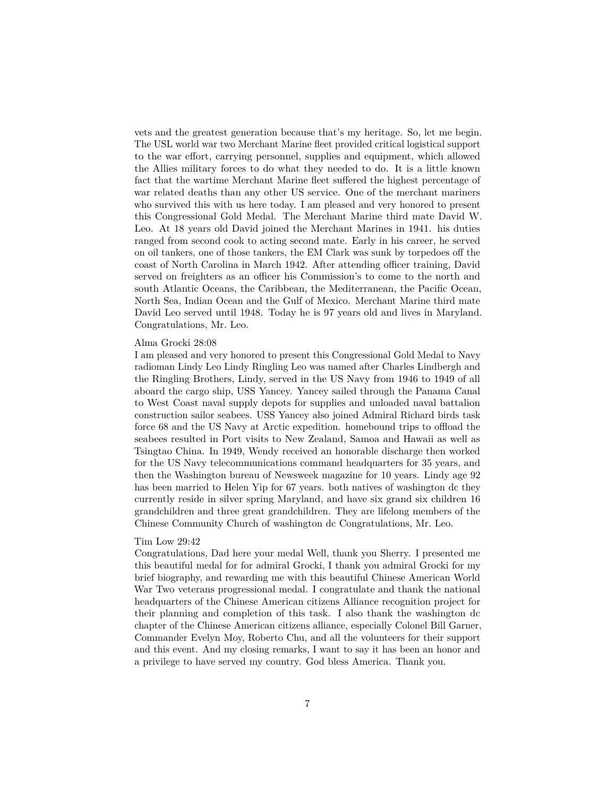vets and the greatest generation because that's my heritage. So, let me begin. The USL world war two Merchant Marine fleet provided critical logistical support to the war effort, carrying personnel, supplies and equipment, which allowed the Allies military forces to do what they needed to do. It is a little known fact that the wartime Merchant Marine fleet suffered the highest percentage of war related deaths than any other US service. One of the merchant mariners who survived this with us here today. I am pleased and very honored to present this Congressional Gold Medal. The Merchant Marine third mate David W. Leo. At 18 years old David joined the Merchant Marines in 1941. his duties ranged from second cook to acting second mate. Early in his career, he served on oil tankers, one of those tankers, the EM Clark was sunk by torpedoes off the coast of North Carolina in March 1942. After attending officer training, David served on freighters as an officer his Commission's to come to the north and south Atlantic Oceans, the Caribbean, the Mediterranean, the Pacific Ocean, North Sea, Indian Ocean and the Gulf of Mexico. Merchant Marine third mate David Leo served until 1948. Today he is 97 years old and lives in Maryland. Congratulations, Mr. Leo.

#### Alma Grocki 28:08

I am pleased and very honored to present this Congressional Gold Medal to Navy radioman Lindy Leo Lindy Ringling Leo was named after Charles Lindbergh and the Ringling Brothers, Lindy, served in the US Navy from 1946 to 1949 of all aboard the cargo ship, USS Yancey. Yancey sailed through the Panama Canal to West Coast naval supply depots for supplies and unloaded naval battalion construction sailor seabees. USS Yancey also joined Admiral Richard birds task force 68 and the US Navy at Arctic expedition. homebound trips to offload the seabees resulted in Port visits to New Zealand, Samoa and Hawaii as well as Tsingtao China. In 1949, Wendy received an honorable discharge then worked for the US Navy telecommunications command headquarters for 35 years, and then the Washington bureau of Newsweek magazine for 10 years. Lindy age 92 has been married to Helen Yip for 67 years. both natives of washington dc they currently reside in silver spring Maryland, and have six grand six children 16 grandchildren and three great grandchildren. They are lifelong members of the Chinese Community Church of washington dc Congratulations, Mr. Leo.

#### Tim Low 29:42

Congratulations, Dad here your medal Well, thank you Sherry. I presented me this beautiful medal for for admiral Grocki, I thank you admiral Grocki for my brief biography, and rewarding me with this beautiful Chinese American World War Two veterans progressional medal. I congratulate and thank the national headquarters of the Chinese American citizens Alliance recognition project for their planning and completion of this task. I also thank the washington dc chapter of the Chinese American citizens alliance, especially Colonel Bill Garner, Commander Evelyn Moy, Roberto Chu, and all the volunteers for their support and this event. And my closing remarks, I want to say it has been an honor and a privilege to have served my country. God bless America. Thank you.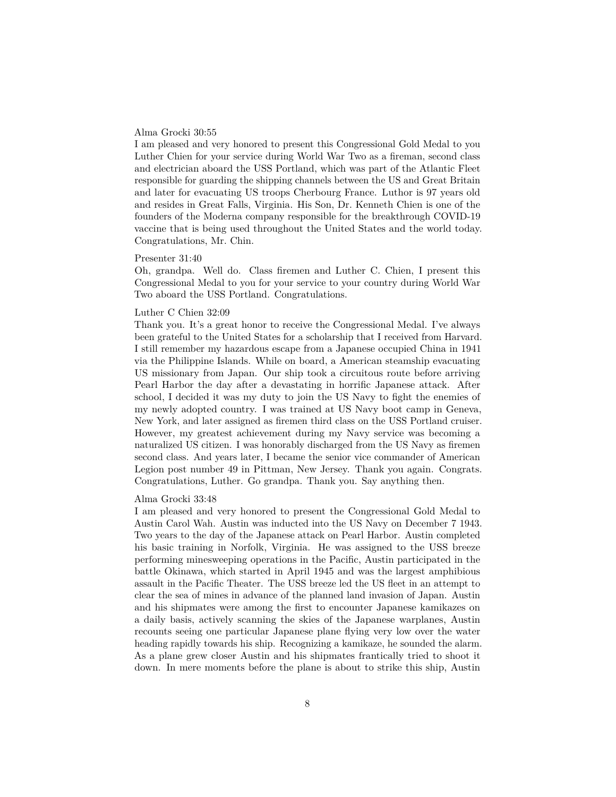# Alma Grocki 30:55

I am pleased and very honored to present this Congressional Gold Medal to you Luther Chien for your service during World War Two as a fireman, second class and electrician aboard the USS Portland, which was part of the Atlantic Fleet responsible for guarding the shipping channels between the US and Great Britain and later for evacuating US troops Cherbourg France. Luthor is 97 years old and resides in Great Falls, Virginia. His Son, Dr. Kenneth Chien is one of the founders of the Moderna company responsible for the breakthrough COVID-19 vaccine that is being used throughout the United States and the world today. Congratulations, Mr. Chin.

# Presenter 31:40

Oh, grandpa. Well do. Class firemen and Luther C. Chien, I present this Congressional Medal to you for your service to your country during World War Two aboard the USS Portland. Congratulations.

#### Luther C Chien 32:09

Thank you. It's a great honor to receive the Congressional Medal. I've always been grateful to the United States for a scholarship that I received from Harvard. I still remember my hazardous escape from a Japanese occupied China in 1941 via the Philippine Islands. While on board, a American steamship evacuating US missionary from Japan. Our ship took a circuitous route before arriving Pearl Harbor the day after a devastating in horrific Japanese attack. After school, I decided it was my duty to join the US Navy to fight the enemies of my newly adopted country. I was trained at US Navy boot camp in Geneva, New York, and later assigned as firemen third class on the USS Portland cruiser. However, my greatest achievement during my Navy service was becoming a naturalized US citizen. I was honorably discharged from the US Navy as firemen second class. And years later, I became the senior vice commander of American Legion post number 49 in Pittman, New Jersey. Thank you again. Congrats. Congratulations, Luther. Go grandpa. Thank you. Say anything then.

## Alma Grocki 33:48

I am pleased and very honored to present the Congressional Gold Medal to Austin Carol Wah. Austin was inducted into the US Navy on December 7 1943. Two years to the day of the Japanese attack on Pearl Harbor. Austin completed his basic training in Norfolk, Virginia. He was assigned to the USS breeze performing minesweeping operations in the Pacific, Austin participated in the battle Okinawa, which started in April 1945 and was the largest amphibious assault in the Pacific Theater. The USS breeze led the US fleet in an attempt to clear the sea of mines in advance of the planned land invasion of Japan. Austin and his shipmates were among the first to encounter Japanese kamikazes on a daily basis, actively scanning the skies of the Japanese warplanes, Austin recounts seeing one particular Japanese plane flying very low over the water heading rapidly towards his ship. Recognizing a kamikaze, he sounded the alarm. As a plane grew closer Austin and his shipmates frantically tried to shoot it down. In mere moments before the plane is about to strike this ship, Austin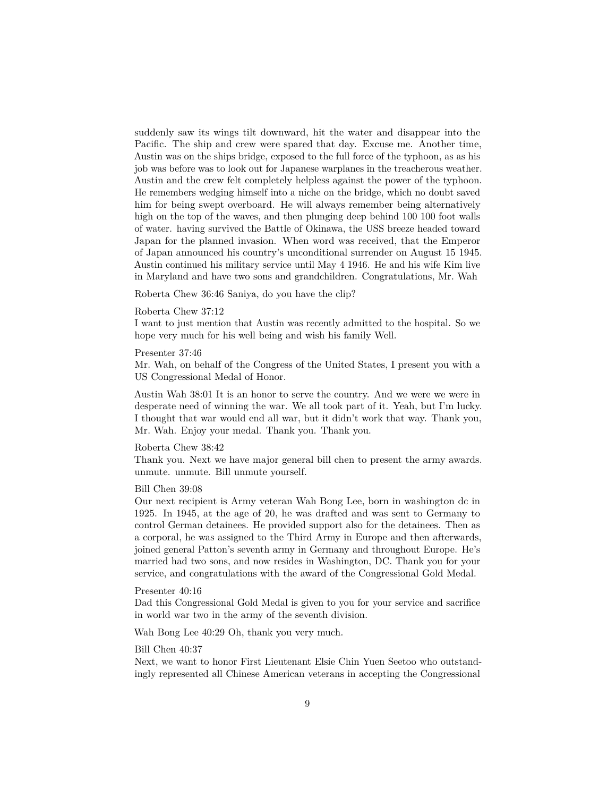suddenly saw its wings tilt downward, hit the water and disappear into the Pacific. The ship and crew were spared that day. Excuse me. Another time, Austin was on the ships bridge, exposed to the full force of the typhoon, as as his job was before was to look out for Japanese warplanes in the treacherous weather. Austin and the crew felt completely helpless against the power of the typhoon. He remembers wedging himself into a niche on the bridge, which no doubt saved him for being swept overboard. He will always remember being alternatively high on the top of the waves, and then plunging deep behind 100 100 foot walls of water. having survived the Battle of Okinawa, the USS breeze headed toward Japan for the planned invasion. When word was received, that the Emperor of Japan announced his country's unconditional surrender on August 15 1945. Austin continued his military service until May 4 1946. He and his wife Kim live in Maryland and have two sons and grandchildren. Congratulations, Mr. Wah

Roberta Chew 36:46 Saniya, do you have the clip?

## Roberta Chew 37:12

I want to just mention that Austin was recently admitted to the hospital. So we hope very much for his well being and wish his family Well.

#### Presenter 37:46

Mr. Wah, on behalf of the Congress of the United States, I present you with a US Congressional Medal of Honor.

Austin Wah 38:01 It is an honor to serve the country. And we were we were in desperate need of winning the war. We all took part of it. Yeah, but I'm lucky. I thought that war would end all war, but it didn't work that way. Thank you, Mr. Wah. Enjoy your medal. Thank you. Thank you.

# Roberta Chew 38:42

Thank you. Next we have major general bill chen to present the army awards. unmute. unmute. Bill unmute yourself.

# Bill Chen 39:08

Our next recipient is Army veteran Wah Bong Lee, born in washington dc in 1925. In 1945, at the age of 20, he was drafted and was sent to Germany to control German detainees. He provided support also for the detainees. Then as a corporal, he was assigned to the Third Army in Europe and then afterwards, joined general Patton's seventh army in Germany and throughout Europe. He's married had two sons, and now resides in Washington, DC. Thank you for your service, and congratulations with the award of the Congressional Gold Medal.

## Presenter 40:16

Dad this Congressional Gold Medal is given to you for your service and sacrifice in world war two in the army of the seventh division.

Wah Bong Lee 40:29 Oh, thank you very much.

#### Bill Chen 40:37

Next, we want to honor First Lieutenant Elsie Chin Yuen Seetoo who outstandingly represented all Chinese American veterans in accepting the Congressional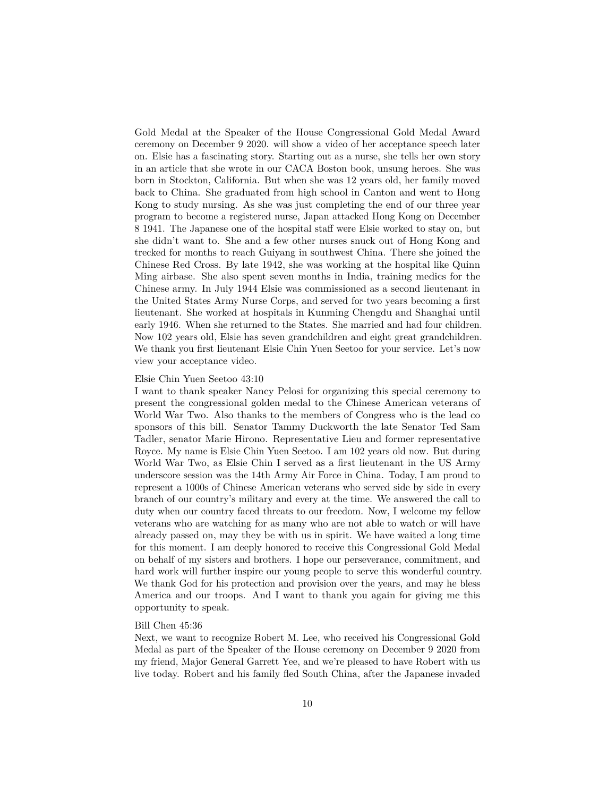Gold Medal at the Speaker of the House Congressional Gold Medal Award ceremony on December 9 2020. will show a video of her acceptance speech later on. Elsie has a fascinating story. Starting out as a nurse, she tells her own story in an article that she wrote in our CACA Boston book, unsung heroes. She was born in Stockton, California. But when she was 12 years old, her family moved back to China. She graduated from high school in Canton and went to Hong Kong to study nursing. As she was just completing the end of our three year program to become a registered nurse, Japan attacked Hong Kong on December 8 1941. The Japanese one of the hospital staff were Elsie worked to stay on, but she didn't want to. She and a few other nurses snuck out of Hong Kong and trecked for months to reach Guiyang in southwest China. There she joined the Chinese Red Cross. By late 1942, she was working at the hospital like Quinn Ming airbase. She also spent seven months in India, training medics for the Chinese army. In July 1944 Elsie was commissioned as a second lieutenant in the United States Army Nurse Corps, and served for two years becoming a first lieutenant. She worked at hospitals in Kunming Chengdu and Shanghai until early 1946. When she returned to the States. She married and had four children. Now 102 years old, Elsie has seven grandchildren and eight great grandchildren. We thank you first lieutenant Elsie Chin Yuen Seetoo for your service. Let's now view your acceptance video.

#### Elsie Chin Yuen Seetoo 43:10

I want to thank speaker Nancy Pelosi for organizing this special ceremony to present the congressional golden medal to the Chinese American veterans of World War Two. Also thanks to the members of Congress who is the lead co sponsors of this bill. Senator Tammy Duckworth the late Senator Ted Sam Tadler, senator Marie Hirono. Representative Lieu and former representative Royce. My name is Elsie Chin Yuen Seetoo. I am 102 years old now. But during World War Two, as Elsie Chin I served as a first lieutenant in the US Army underscore session was the 14th Army Air Force in China. Today, I am proud to represent a 1000s of Chinese American veterans who served side by side in every branch of our country's military and every at the time. We answered the call to duty when our country faced threats to our freedom. Now, I welcome my fellow veterans who are watching for as many who are not able to watch or will have already passed on, may they be with us in spirit. We have waited a long time for this moment. I am deeply honored to receive this Congressional Gold Medal on behalf of my sisters and brothers. I hope our perseverance, commitment, and hard work will further inspire our young people to serve this wonderful country. We thank God for his protection and provision over the years, and may he bless America and our troops. And I want to thank you again for giving me this opportunity to speak.

## Bill Chen 45:36

Next, we want to recognize Robert M. Lee, who received his Congressional Gold Medal as part of the Speaker of the House ceremony on December 9 2020 from my friend, Major General Garrett Yee, and we're pleased to have Robert with us live today. Robert and his family fled South China, after the Japanese invaded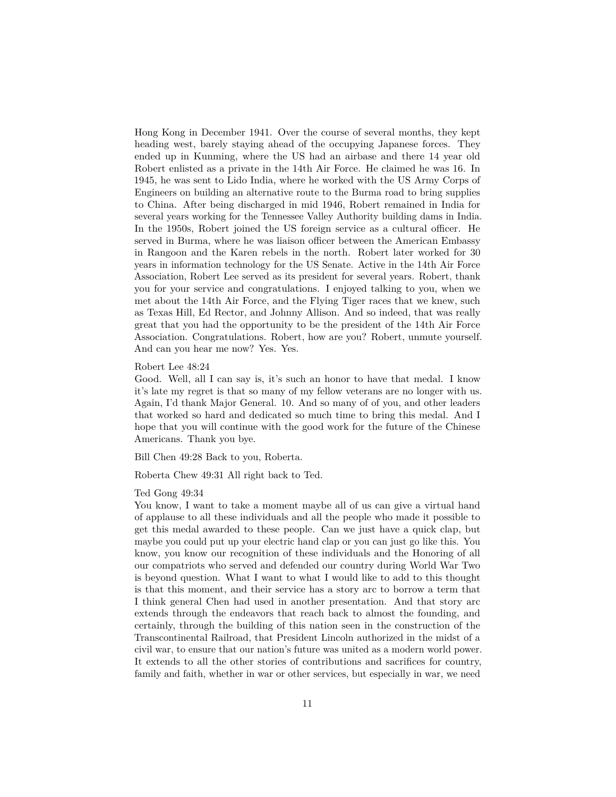Hong Kong in December 1941. Over the course of several months, they kept heading west, barely staying ahead of the occupying Japanese forces. They ended up in Kunming, where the US had an airbase and there 14 year old Robert enlisted as a private in the 14th Air Force. He claimed he was 16. In 1945, he was sent to Lido India, where he worked with the US Army Corps of Engineers on building an alternative route to the Burma road to bring supplies to China. After being discharged in mid 1946, Robert remained in India for several years working for the Tennessee Valley Authority building dams in India. In the 1950s, Robert joined the US foreign service as a cultural officer. He served in Burma, where he was liaison officer between the American Embassy in Rangoon and the Karen rebels in the north. Robert later worked for 30 years in information technology for the US Senate. Active in the 14th Air Force Association, Robert Lee served as its president for several years. Robert, thank you for your service and congratulations. I enjoyed talking to you, when we met about the 14th Air Force, and the Flying Tiger races that we knew, such as Texas Hill, Ed Rector, and Johnny Allison. And so indeed, that was really great that you had the opportunity to be the president of the 14th Air Force Association. Congratulations. Robert, how are you? Robert, unmute yourself. And can you hear me now? Yes. Yes.

#### Robert Lee 48:24

Good. Well, all I can say is, it's such an honor to have that medal. I know it's late my regret is that so many of my fellow veterans are no longer with us. Again, I'd thank Major General. 10. And so many of of you, and other leaders that worked so hard and dedicated so much time to bring this medal. And I hope that you will continue with the good work for the future of the Chinese Americans. Thank you bye.

Bill Chen 49:28 Back to you, Roberta.

Roberta Chew 49:31 All right back to Ted.

# Ted Gong 49:34

You know, I want to take a moment maybe all of us can give a virtual hand of applause to all these individuals and all the people who made it possible to get this medal awarded to these people. Can we just have a quick clap, but maybe you could put up your electric hand clap or you can just go like this. You know, you know our recognition of these individuals and the Honoring of all our compatriots who served and defended our country during World War Two is beyond question. What I want to what I would like to add to this thought is that this moment, and their service has a story arc to borrow a term that I think general Chen had used in another presentation. And that story arc extends through the endeavors that reach back to almost the founding, and certainly, through the building of this nation seen in the construction of the Transcontinental Railroad, that President Lincoln authorized in the midst of a civil war, to ensure that our nation's future was united as a modern world power. It extends to all the other stories of contributions and sacrifices for country, family and faith, whether in war or other services, but especially in war, we need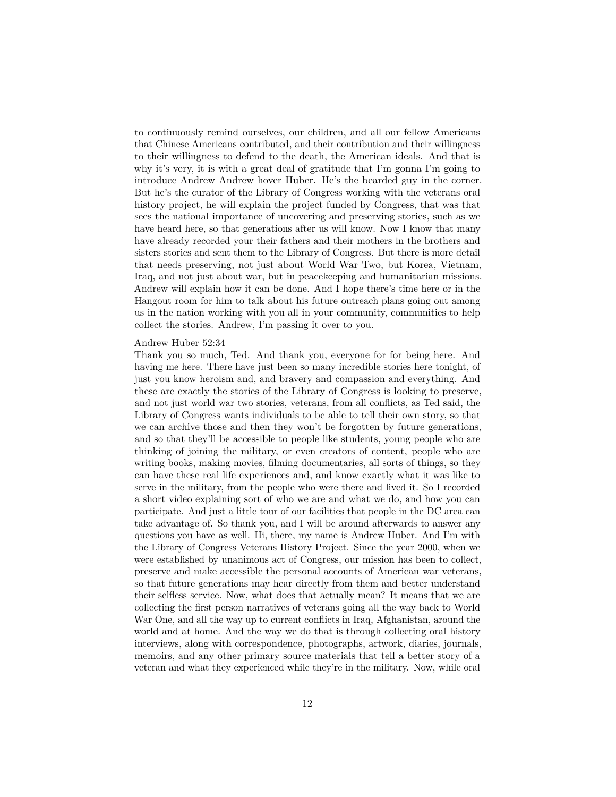to continuously remind ourselves, our children, and all our fellow Americans that Chinese Americans contributed, and their contribution and their willingness to their willingness to defend to the death, the American ideals. And that is why it's very, it is with a great deal of gratitude that I'm gonna I'm going to introduce Andrew Andrew hover Huber. He's the bearded guy in the corner. But he's the curator of the Library of Congress working with the veterans oral history project, he will explain the project funded by Congress, that was that sees the national importance of uncovering and preserving stories, such as we have heard here, so that generations after us will know. Now I know that many have already recorded your their fathers and their mothers in the brothers and sisters stories and sent them to the Library of Congress. But there is more detail that needs preserving, not just about World War Two, but Korea, Vietnam, Iraq, and not just about war, but in peacekeeping and humanitarian missions. Andrew will explain how it can be done. And I hope there's time here or in the Hangout room for him to talk about his future outreach plans going out among us in the nation working with you all in your community, communities to help collect the stories. Andrew, I'm passing it over to you.

## Andrew Huber 52:34

Thank you so much, Ted. And thank you, everyone for for being here. And having me here. There have just been so many incredible stories here tonight, of just you know heroism and, and bravery and compassion and everything. And these are exactly the stories of the Library of Congress is looking to preserve, and not just world war two stories, veterans, from all conflicts, as Ted said, the Library of Congress wants individuals to be able to tell their own story, so that we can archive those and then they won't be forgotten by future generations, and so that they'll be accessible to people like students, young people who are thinking of joining the military, or even creators of content, people who are writing books, making movies, filming documentaries, all sorts of things, so they can have these real life experiences and, and know exactly what it was like to serve in the military, from the people who were there and lived it. So I recorded a short video explaining sort of who we are and what we do, and how you can participate. And just a little tour of our facilities that people in the DC area can take advantage of. So thank you, and I will be around afterwards to answer any questions you have as well. Hi, there, my name is Andrew Huber. And I'm with the Library of Congress Veterans History Project. Since the year 2000, when we were established by unanimous act of Congress, our mission has been to collect, preserve and make accessible the personal accounts of American war veterans, so that future generations may hear directly from them and better understand their selfless service. Now, what does that actually mean? It means that we are collecting the first person narratives of veterans going all the way back to World War One, and all the way up to current conflicts in Iraq, Afghanistan, around the world and at home. And the way we do that is through collecting oral history interviews, along with correspondence, photographs, artwork, diaries, journals, memoirs, and any other primary source materials that tell a better story of a veteran and what they experienced while they're in the military. Now, while oral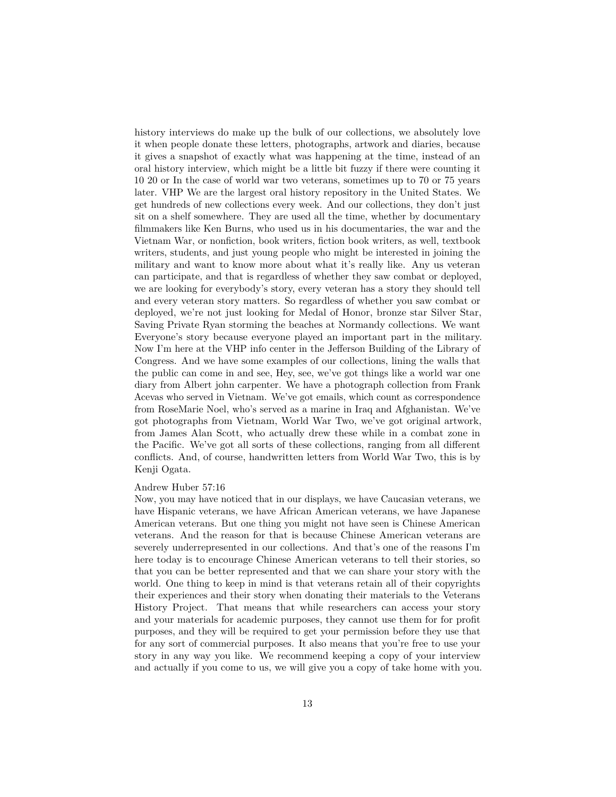history interviews do make up the bulk of our collections, we absolutely love it when people donate these letters, photographs, artwork and diaries, because it gives a snapshot of exactly what was happening at the time, instead of an oral history interview, which might be a little bit fuzzy if there were counting it 10 20 or In the case of world war two veterans, sometimes up to 70 or 75 years later. VHP We are the largest oral history repository in the United States. We get hundreds of new collections every week. And our collections, they don't just sit on a shelf somewhere. They are used all the time, whether by documentary filmmakers like Ken Burns, who used us in his documentaries, the war and the Vietnam War, or nonfiction, book writers, fiction book writers, as well, textbook writers, students, and just young people who might be interested in joining the military and want to know more about what it's really like. Any us veteran can participate, and that is regardless of whether they saw combat or deployed, we are looking for everybody's story, every veteran has a story they should tell and every veteran story matters. So regardless of whether you saw combat or deployed, we're not just looking for Medal of Honor, bronze star Silver Star, Saving Private Ryan storming the beaches at Normandy collections. We want Everyone's story because everyone played an important part in the military. Now I'm here at the VHP info center in the Jefferson Building of the Library of Congress. And we have some examples of our collections, lining the walls that the public can come in and see, Hey, see, we've got things like a world war one diary from Albert john carpenter. We have a photograph collection from Frank Acevas who served in Vietnam. We've got emails, which count as correspondence from RoseMarie Noel, who's served as a marine in Iraq and Afghanistan. We've got photographs from Vietnam, World War Two, we've got original artwork, from James Alan Scott, who actually drew these while in a combat zone in the Pacific. We've got all sorts of these collections, ranging from all different conflicts. And, of course, handwritten letters from World War Two, this is by Kenji Ogata.

## Andrew Huber 57:16

Now, you may have noticed that in our displays, we have Caucasian veterans, we have Hispanic veterans, we have African American veterans, we have Japanese American veterans. But one thing you might not have seen is Chinese American veterans. And the reason for that is because Chinese American veterans are severely underrepresented in our collections. And that's one of the reasons I'm here today is to encourage Chinese American veterans to tell their stories, so that you can be better represented and that we can share your story with the world. One thing to keep in mind is that veterans retain all of their copyrights their experiences and their story when donating their materials to the Veterans History Project. That means that while researchers can access your story and your materials for academic purposes, they cannot use them for for profit purposes, and they will be required to get your permission before they use that for any sort of commercial purposes. It also means that you're free to use your story in any way you like. We recommend keeping a copy of your interview and actually if you come to us, we will give you a copy of take home with you.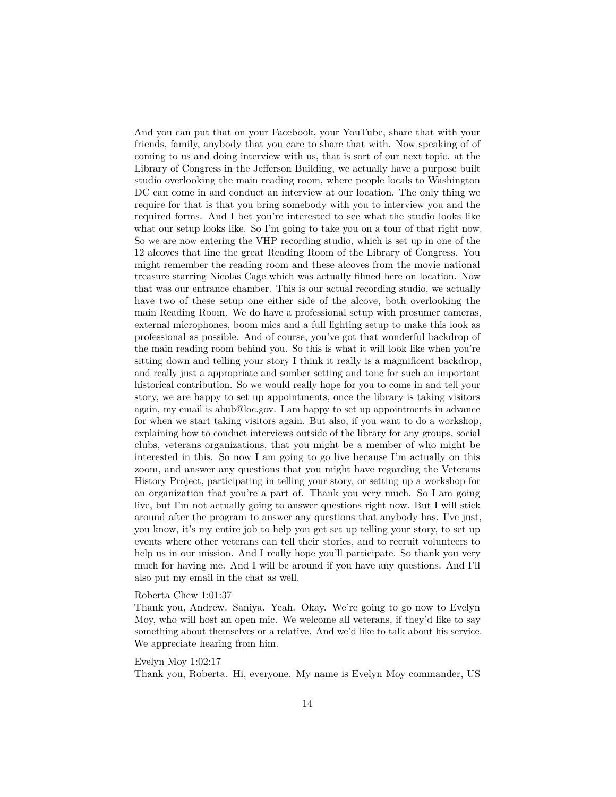And you can put that on your Facebook, your YouTube, share that with your friends, family, anybody that you care to share that with. Now speaking of of coming to us and doing interview with us, that is sort of our next topic. at the Library of Congress in the Jefferson Building, we actually have a purpose built studio overlooking the main reading room, where people locals to Washington DC can come in and conduct an interview at our location. The only thing we require for that is that you bring somebody with you to interview you and the required forms. And I bet you're interested to see what the studio looks like what our setup looks like. So I'm going to take you on a tour of that right now. So we are now entering the VHP recording studio, which is set up in one of the 12 alcoves that line the great Reading Room of the Library of Congress. You might remember the reading room and these alcoves from the movie national treasure starring Nicolas Cage which was actually filmed here on location. Now that was our entrance chamber. This is our actual recording studio, we actually have two of these setup one either side of the alcove, both overlooking the main Reading Room. We do have a professional setup with prosumer cameras, external microphones, boom mics and a full lighting setup to make this look as professional as possible. And of course, you've got that wonderful backdrop of the main reading room behind you. So this is what it will look like when you're sitting down and telling your story I think it really is a magnificent backdrop, and really just a appropriate and somber setting and tone for such an important historical contribution. So we would really hope for you to come in and tell your story, we are happy to set up appointments, once the library is taking visitors again, my email is ahub@loc.gov. I am happy to set up appointments in advance for when we start taking visitors again. But also, if you want to do a workshop, explaining how to conduct interviews outside of the library for any groups, social clubs, veterans organizations, that you might be a member of who might be interested in this. So now I am going to go live because I'm actually on this zoom, and answer any questions that you might have regarding the Veterans History Project, participating in telling your story, or setting up a workshop for an organization that you're a part of. Thank you very much. So I am going live, but I'm not actually going to answer questions right now. But I will stick around after the program to answer any questions that anybody has. I've just, you know, it's my entire job to help you get set up telling your story, to set up events where other veterans can tell their stories, and to recruit volunteers to help us in our mission. And I really hope you'll participate. So thank you very much for having me. And I will be around if you have any questions. And I'll also put my email in the chat as well.

# Roberta Chew 1:01:37

Thank you, Andrew. Saniya. Yeah. Okay. We're going to go now to Evelyn Moy, who will host an open mic. We welcome all veterans, if they'd like to say something about themselves or a relative. And we'd like to talk about his service. We appreciate hearing from him.

## Evelyn Moy 1:02:17

Thank you, Roberta. Hi, everyone. My name is Evelyn Moy commander, US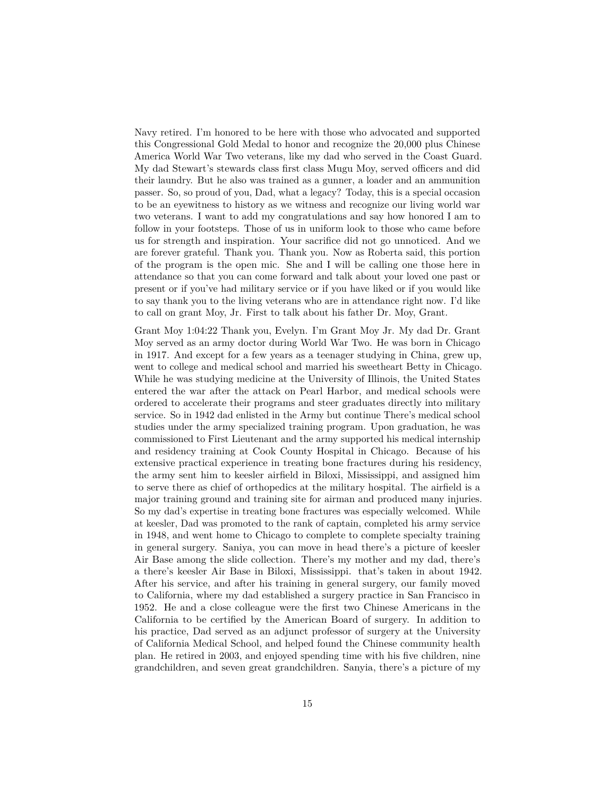Navy retired. I'm honored to be here with those who advocated and supported this Congressional Gold Medal to honor and recognize the 20,000 plus Chinese America World War Two veterans, like my dad who served in the Coast Guard. My dad Stewart's stewards class first class Mugu Moy, served officers and did their laundry. But he also was trained as a gunner, a loader and an ammunition passer. So, so proud of you, Dad, what a legacy? Today, this is a special occasion to be an eyewitness to history as we witness and recognize our living world war two veterans. I want to add my congratulations and say how honored I am to follow in your footsteps. Those of us in uniform look to those who came before us for strength and inspiration. Your sacrifice did not go unnoticed. And we are forever grateful. Thank you. Thank you. Now as Roberta said, this portion of the program is the open mic. She and I will be calling one those here in attendance so that you can come forward and talk about your loved one past or present or if you've had military service or if you have liked or if you would like to say thank you to the living veterans who are in attendance right now. I'd like to call on grant Moy, Jr. First to talk about his father Dr. Moy, Grant.

Grant Moy 1:04:22 Thank you, Evelyn. I'm Grant Moy Jr. My dad Dr. Grant Moy served as an army doctor during World War Two. He was born in Chicago in 1917. And except for a few years as a teenager studying in China, grew up, went to college and medical school and married his sweetheart Betty in Chicago. While he was studying medicine at the University of Illinois, the United States entered the war after the attack on Pearl Harbor, and medical schools were ordered to accelerate their programs and steer graduates directly into military service. So in 1942 dad enlisted in the Army but continue There's medical school studies under the army specialized training program. Upon graduation, he was commissioned to First Lieutenant and the army supported his medical internship and residency training at Cook County Hospital in Chicago. Because of his extensive practical experience in treating bone fractures during his residency, the army sent him to keesler airfield in Biloxi, Mississippi, and assigned him to serve there as chief of orthopedics at the military hospital. The airfield is a major training ground and training site for airman and produced many injuries. So my dad's expertise in treating bone fractures was especially welcomed. While at keesler, Dad was promoted to the rank of captain, completed his army service in 1948, and went home to Chicago to complete to complete specialty training in general surgery. Saniya, you can move in head there's a picture of keesler Air Base among the slide collection. There's my mother and my dad, there's a there's keesler Air Base in Biloxi, Mississippi. that's taken in about 1942. After his service, and after his training in general surgery, our family moved to California, where my dad established a surgery practice in San Francisco in 1952. He and a close colleague were the first two Chinese Americans in the California to be certified by the American Board of surgery. In addition to his practice, Dad served as an adjunct professor of surgery at the University of California Medical School, and helped found the Chinese community health plan. He retired in 2003, and enjoyed spending time with his five children, nine grandchildren, and seven great grandchildren. Sanyia, there's a picture of my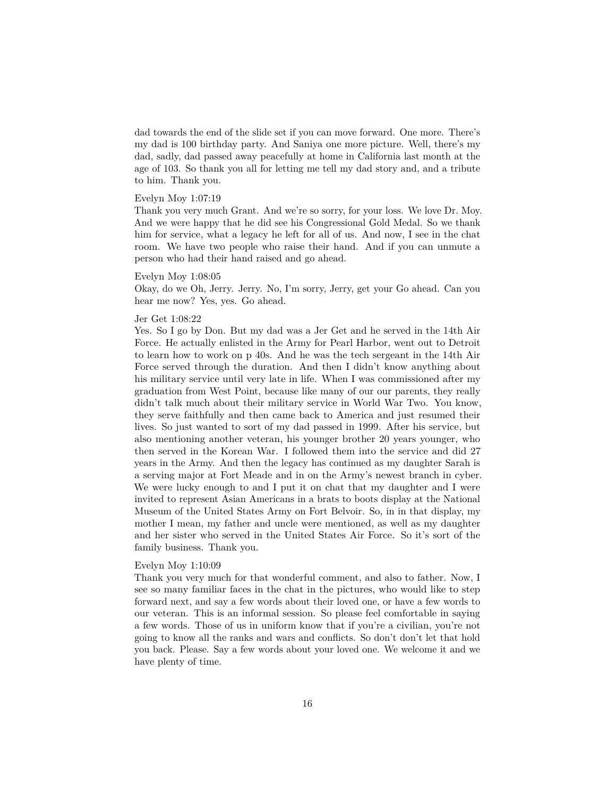dad towards the end of the slide set if you can move forward. One more. There's my dad is 100 birthday party. And Saniya one more picture. Well, there's my dad, sadly, dad passed away peacefully at home in California last month at the age of 103. So thank you all for letting me tell my dad story and, and a tribute to him. Thank you.

## Evelyn Moy 1:07:19

Thank you very much Grant. And we're so sorry, for your loss. We love Dr. Moy. And we were happy that he did see his Congressional Gold Medal. So we thank him for service, what a legacy he left for all of us. And now, I see in the chat room. We have two people who raise their hand. And if you can unmute a person who had their hand raised and go ahead.

#### Evelyn Moy 1:08:05

Okay, do we Oh, Jerry. Jerry. No, I'm sorry, Jerry, get your Go ahead. Can you hear me now? Yes, yes. Go ahead.

#### Jer Get 1:08:22

Yes. So I go by Don. But my dad was a Jer Get and he served in the 14th Air Force. He actually enlisted in the Army for Pearl Harbor, went out to Detroit to learn how to work on p 40s. And he was the tech sergeant in the 14th Air Force served through the duration. And then I didn't know anything about his military service until very late in life. When I was commissioned after my graduation from West Point, because like many of our our parents, they really didn't talk much about their military service in World War Two. You know, they serve faithfully and then came back to America and just resumed their lives. So just wanted to sort of my dad passed in 1999. After his service, but also mentioning another veteran, his younger brother 20 years younger, who then served in the Korean War. I followed them into the service and did 27 years in the Army. And then the legacy has continued as my daughter Sarah is a serving major at Fort Meade and in on the Army's newest branch in cyber. We were lucky enough to and I put it on chat that my daughter and I were invited to represent Asian Americans in a brats to boots display at the National Museum of the United States Army on Fort Belvoir. So, in in that display, my mother I mean, my father and uncle were mentioned, as well as my daughter and her sister who served in the United States Air Force. So it's sort of the family business. Thank you.

#### Evelyn Moy 1:10:09

Thank you very much for that wonderful comment, and also to father. Now, I see so many familiar faces in the chat in the pictures, who would like to step forward next, and say a few words about their loved one, or have a few words to our veteran. This is an informal session. So please feel comfortable in saying a few words. Those of us in uniform know that if you're a civilian, you're not going to know all the ranks and wars and conflicts. So don't don't let that hold you back. Please. Say a few words about your loved one. We welcome it and we have plenty of time.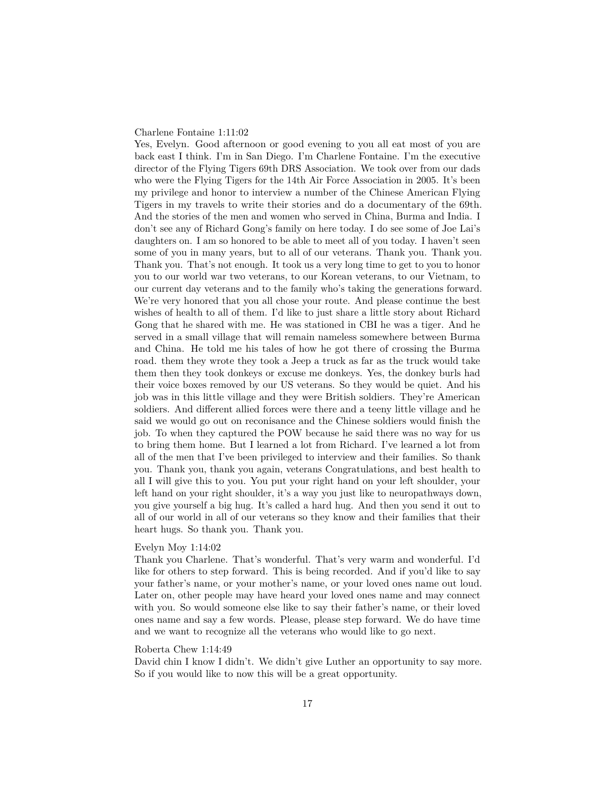## Charlene Fontaine 1:11:02

Yes, Evelyn. Good afternoon or good evening to you all eat most of you are back east I think. I'm in San Diego. I'm Charlene Fontaine. I'm the executive director of the Flying Tigers 69th DRS Association. We took over from our dads who were the Flying Tigers for the 14th Air Force Association in 2005. It's been my privilege and honor to interview a number of the Chinese American Flying Tigers in my travels to write their stories and do a documentary of the 69th. And the stories of the men and women who served in China, Burma and India. I don't see any of Richard Gong's family on here today. I do see some of Joe Lai's daughters on. I am so honored to be able to meet all of you today. I haven't seen some of you in many years, but to all of our veterans. Thank you. Thank you. Thank you. That's not enough. It took us a very long time to get to you to honor you to our world war two veterans, to our Korean veterans, to our Vietnam, to our current day veterans and to the family who's taking the generations forward. We're very honored that you all chose your route. And please continue the best wishes of health to all of them. I'd like to just share a little story about Richard Gong that he shared with me. He was stationed in CBI he was a tiger. And he served in a small village that will remain nameless somewhere between Burma and China. He told me his tales of how he got there of crossing the Burma road. them they wrote they took a Jeep a truck as far as the truck would take them then they took donkeys or excuse me donkeys. Yes, the donkey burls had their voice boxes removed by our US veterans. So they would be quiet. And his job was in this little village and they were British soldiers. They're American soldiers. And different allied forces were there and a teeny little village and he said we would go out on reconisance and the Chinese soldiers would finish the job. To when they captured the POW because he said there was no way for us to bring them home. But I learned a lot from Richard. I've learned a lot from all of the men that I've been privileged to interview and their families. So thank you. Thank you, thank you again, veterans Congratulations, and best health to all I will give this to you. You put your right hand on your left shoulder, your left hand on your right shoulder, it's a way you just like to neuropathways down, you give yourself a big hug. It's called a hard hug. And then you send it out to all of our world in all of our veterans so they know and their families that their heart hugs. So thank you. Thank you.

# Evelyn Moy 1:14:02

Thank you Charlene. That's wonderful. That's very warm and wonderful. I'd like for others to step forward. This is being recorded. And if you'd like to say your father's name, or your mother's name, or your loved ones name out loud. Later on, other people may have heard your loved ones name and may connect with you. So would someone else like to say their father's name, or their loved ones name and say a few words. Please, please step forward. We do have time and we want to recognize all the veterans who would like to go next.

#### Roberta Chew 1:14:49

David chin I know I didn't. We didn't give Luther an opportunity to say more. So if you would like to now this will be a great opportunity.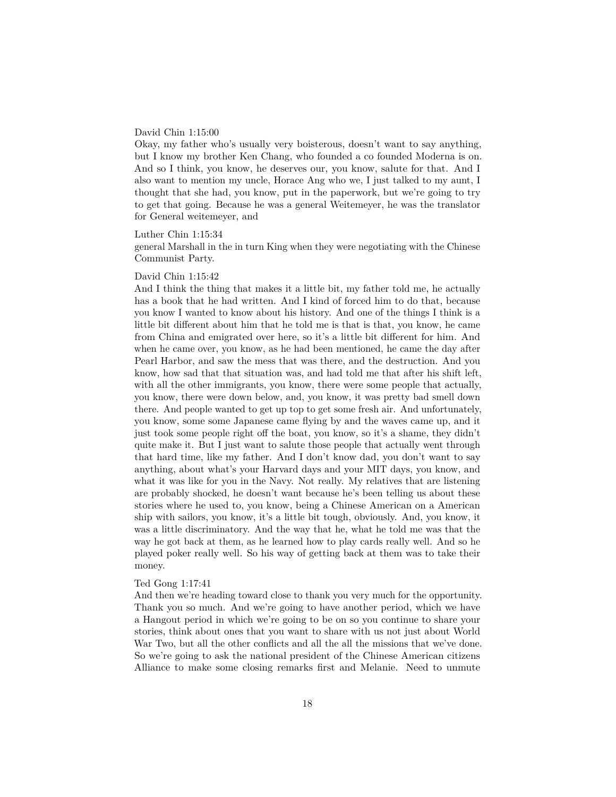# David Chin 1:15:00

Okay, my father who's usually very boisterous, doesn't want to say anything, but I know my brother Ken Chang, who founded a co founded Moderna is on. And so I think, you know, he deserves our, you know, salute for that. And I also want to mention my uncle, Horace Ang who we, I just talked to my aunt, I thought that she had, you know, put in the paperwork, but we're going to try to get that going. Because he was a general Weitemeyer, he was the translator for General weitemeyer, and

### Luther Chin 1:15:34

general Marshall in the in turn King when they were negotiating with the Chinese Communist Party.

# David Chin 1:15:42

And I think the thing that makes it a little bit, my father told me, he actually has a book that he had written. And I kind of forced him to do that, because you know I wanted to know about his history. And one of the things I think is a little bit different about him that he told me is that is that, you know, he came from China and emigrated over here, so it's a little bit different for him. And when he came over, you know, as he had been mentioned, he came the day after Pearl Harbor, and saw the mess that was there, and the destruction. And you know, how sad that that situation was, and had told me that after his shift left, with all the other immigrants, you know, there were some people that actually, you know, there were down below, and, you know, it was pretty bad smell down there. And people wanted to get up top to get some fresh air. And unfortunately, you know, some some Japanese came flying by and the waves came up, and it just took some people right off the boat, you know, so it's a shame, they didn't quite make it. But I just want to salute those people that actually went through that hard time, like my father. And I don't know dad, you don't want to say anything, about what's your Harvard days and your MIT days, you know, and what it was like for you in the Navy. Not really. My relatives that are listening are probably shocked, he doesn't want because he's been telling us about these stories where he used to, you know, being a Chinese American on a American ship with sailors, you know, it's a little bit tough, obviously. And, you know, it was a little discriminatory. And the way that he, what he told me was that the way he got back at them, as he learned how to play cards really well. And so he played poker really well. So his way of getting back at them was to take their money.

### Ted Gong 1:17:41

And then we're heading toward close to thank you very much for the opportunity. Thank you so much. And we're going to have another period, which we have a Hangout period in which we're going to be on so you continue to share your stories, think about ones that you want to share with us not just about World War Two, but all the other conflicts and all the all the missions that we've done. So we're going to ask the national president of the Chinese American citizens Alliance to make some closing remarks first and Melanie. Need to unmute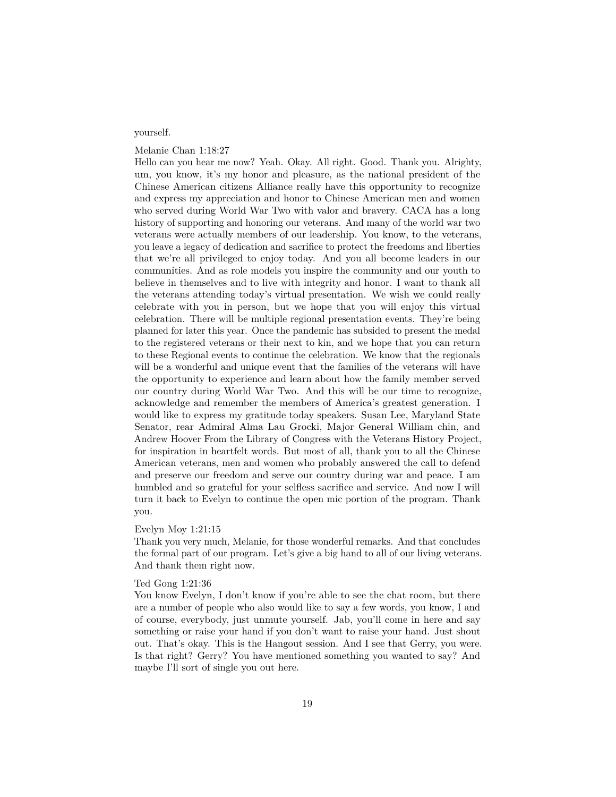# yourself.

# Melanie Chan 1:18:27

Hello can you hear me now? Yeah. Okay. All right. Good. Thank you. Alrighty, um, you know, it's my honor and pleasure, as the national president of the Chinese American citizens Alliance really have this opportunity to recognize and express my appreciation and honor to Chinese American men and women who served during World War Two with valor and bravery. CACA has a long history of supporting and honoring our veterans. And many of the world war two veterans were actually members of our leadership. You know, to the veterans, you leave a legacy of dedication and sacrifice to protect the freedoms and liberties that we're all privileged to enjoy today. And you all become leaders in our communities. And as role models you inspire the community and our youth to believe in themselves and to live with integrity and honor. I want to thank all the veterans attending today's virtual presentation. We wish we could really celebrate with you in person, but we hope that you will enjoy this virtual celebration. There will be multiple regional presentation events. They're being planned for later this year. Once the pandemic has subsided to present the medal to the registered veterans or their next to kin, and we hope that you can return to these Regional events to continue the celebration. We know that the regionals will be a wonderful and unique event that the families of the veterans will have the opportunity to experience and learn about how the family member served our country during World War Two. And this will be our time to recognize, acknowledge and remember the members of America's greatest generation. I would like to express my gratitude today speakers. Susan Lee, Maryland State Senator, rear Admiral Alma Lau Grocki, Major General William chin, and Andrew Hoover From the Library of Congress with the Veterans History Project, for inspiration in heartfelt words. But most of all, thank you to all the Chinese American veterans, men and women who probably answered the call to defend and preserve our freedom and serve our country during war and peace. I am humbled and so grateful for your selfless sacrifice and service. And now I will turn it back to Evelyn to continue the open mic portion of the program. Thank you.

### Evelyn Moy 1:21:15

Thank you very much, Melanie, for those wonderful remarks. And that concludes the formal part of our program. Let's give a big hand to all of our living veterans. And thank them right now.

# Ted Gong 1:21:36

You know Evelyn, I don't know if you're able to see the chat room, but there are a number of people who also would like to say a few words, you know, I and of course, everybody, just unmute yourself. Jab, you'll come in here and say something or raise your hand if you don't want to raise your hand. Just shout out. That's okay. This is the Hangout session. And I see that Gerry, you were. Is that right? Gerry? You have mentioned something you wanted to say? And maybe I'll sort of single you out here.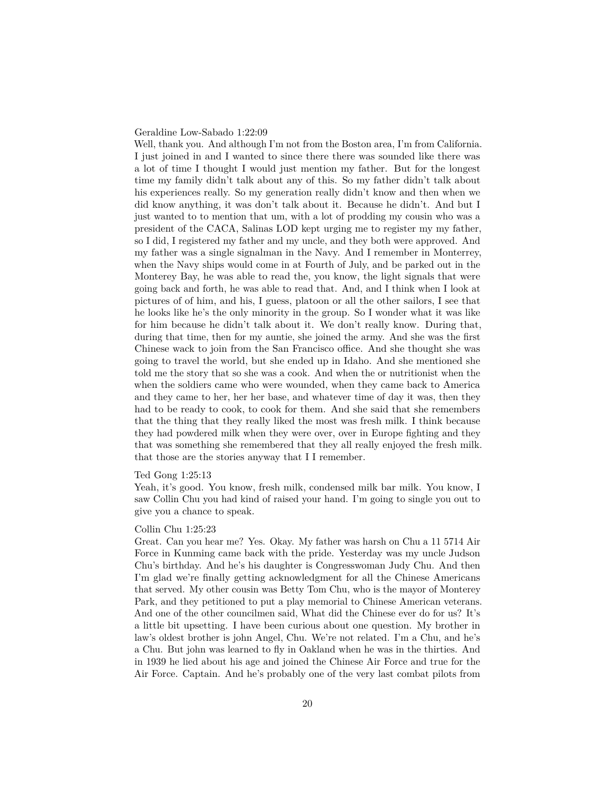## Geraldine Low-Sabado 1:22:09

Well, thank you. And although I'm not from the Boston area, I'm from California. I just joined in and I wanted to since there there was sounded like there was a lot of time I thought I would just mention my father. But for the longest time my family didn't talk about any of this. So my father didn't talk about his experiences really. So my generation really didn't know and then when we did know anything, it was don't talk about it. Because he didn't. And but I just wanted to to mention that um, with a lot of prodding my cousin who was a president of the CACA, Salinas LOD kept urging me to register my my father, so I did, I registered my father and my uncle, and they both were approved. And my father was a single signalman in the Navy. And I remember in Monterrey, when the Navy ships would come in at Fourth of July, and be parked out in the Monterey Bay, he was able to read the, you know, the light signals that were going back and forth, he was able to read that. And, and I think when I look at pictures of of him, and his, I guess, platoon or all the other sailors, I see that he looks like he's the only minority in the group. So I wonder what it was like for him because he didn't talk about it. We don't really know. During that, during that time, then for my auntie, she joined the army. And she was the first Chinese wack to join from the San Francisco office. And she thought she was going to travel the world, but she ended up in Idaho. And she mentioned she told me the story that so she was a cook. And when the or nutritionist when the when the soldiers came who were wounded, when they came back to America and they came to her, her her base, and whatever time of day it was, then they had to be ready to cook, to cook for them. And she said that she remembers that the thing that they really liked the most was fresh milk. I think because they had powdered milk when they were over, over in Europe fighting and they that was something she remembered that they all really enjoyed the fresh milk. that those are the stories anyway that I I remember.

## Ted Gong 1:25:13

Yeah, it's good. You know, fresh milk, condensed milk bar milk. You know, I saw Collin Chu you had kind of raised your hand. I'm going to single you out to give you a chance to speak.

#### Collin Chu 1:25:23

Great. Can you hear me? Yes. Okay. My father was harsh on Chu a 11 5714 Air Force in Kunming came back with the pride. Yesterday was my uncle Judson Chu's birthday. And he's his daughter is Congresswoman Judy Chu. And then I'm glad we're finally getting acknowledgment for all the Chinese Americans that served. My other cousin was Betty Tom Chu, who is the mayor of Monterey Park, and they petitioned to put a play memorial to Chinese American veterans. And one of the other councilmen said, What did the Chinese ever do for us? It's a little bit upsetting. I have been curious about one question. My brother in law's oldest brother is john Angel, Chu. We're not related. I'm a Chu, and he's a Chu. But john was learned to fly in Oakland when he was in the thirties. And in 1939 he lied about his age and joined the Chinese Air Force and true for the Air Force. Captain. And he's probably one of the very last combat pilots from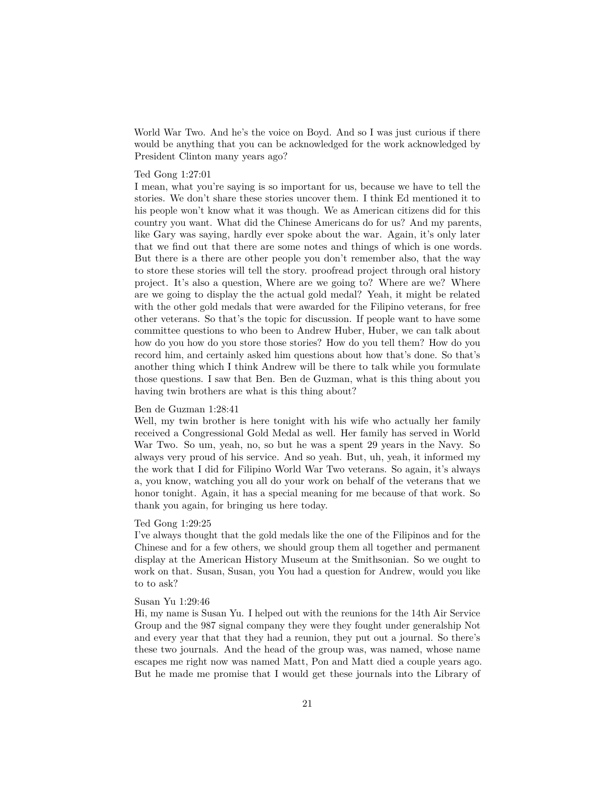World War Two. And he's the voice on Boyd. And so I was just curious if there would be anything that you can be acknowledged for the work acknowledged by President Clinton many years ago?

### Ted Gong 1:27:01

I mean, what you're saying is so important for us, because we have to tell the stories. We don't share these stories uncover them. I think Ed mentioned it to his people won't know what it was though. We as American citizens did for this country you want. What did the Chinese Americans do for us? And my parents, like Gary was saying, hardly ever spoke about the war. Again, it's only later that we find out that there are some notes and things of which is one words. But there is a there are other people you don't remember also, that the way to store these stories will tell the story. proofread project through oral history project. It's also a question, Where are we going to? Where are we? Where are we going to display the the actual gold medal? Yeah, it might be related with the other gold medals that were awarded for the Filipino veterans, for free other veterans. So that's the topic for discussion. If people want to have some committee questions to who been to Andrew Huber, Huber, we can talk about how do you how do you store those stories? How do you tell them? How do you record him, and certainly asked him questions about how that's done. So that's another thing which I think Andrew will be there to talk while you formulate those questions. I saw that Ben. Ben de Guzman, what is this thing about you having twin brothers are what is this thing about?

# Ben de Guzman 1:28:41

Well, my twin brother is here tonight with his wife who actually her family received a Congressional Gold Medal as well. Her family has served in World War Two. So um, yeah, no, so but he was a spent 29 years in the Navy. So always very proud of his service. And so yeah. But, uh, yeah, it informed my the work that I did for Filipino World War Two veterans. So again, it's always a, you know, watching you all do your work on behalf of the veterans that we honor tonight. Again, it has a special meaning for me because of that work. So thank you again, for bringing us here today.

## Ted Gong 1:29:25

I've always thought that the gold medals like the one of the Filipinos and for the Chinese and for a few others, we should group them all together and permanent display at the American History Museum at the Smithsonian. So we ought to work on that. Susan, Susan, you You had a question for Andrew, would you like to to ask?

# Susan Yu 1:29:46

Hi, my name is Susan Yu. I helped out with the reunions for the 14th Air Service Group and the 987 signal company they were they fought under generalship Not and every year that that they had a reunion, they put out a journal. So there's these two journals. And the head of the group was, was named, whose name escapes me right now was named Matt, Pon and Matt died a couple years ago. But he made me promise that I would get these journals into the Library of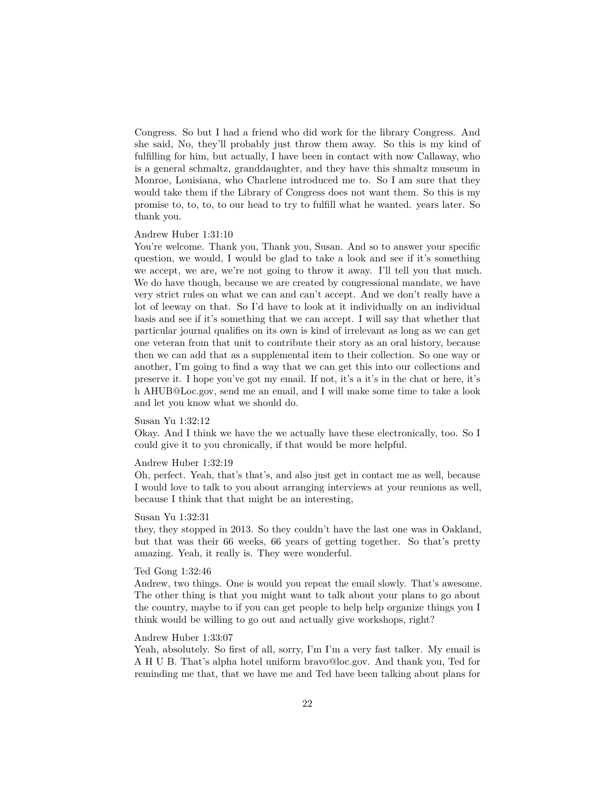Congress. So but I had a friend who did work for the library Congress. And she said, No, they'll probably just throw them away. So this is my kind of fulfilling for him, but actually, I have been in contact with now Callaway, who is a general schmaltz, granddaughter, and they have this shmaltz museum in Monroe, Louisiana, who Charlene introduced me to. So I am sure that they would take them if the Library of Congress does not want them. So this is my promise to, to, to, to our head to try to fulfill what he wanted. years later. So thank you.

# Andrew Huber 1:31:10

You're welcome. Thank you, Thank you, Susan. And so to answer your specific question, we would, I would be glad to take a look and see if it's something we accept, we are, we're not going to throw it away. I'll tell you that much. We do have though, because we are created by congressional mandate, we have very strict rules on what we can and can't accept. And we don't really have a lot of leeway on that. So I'd have to look at it individually on an individual basis and see if it's something that we can accept. I will say that whether that particular journal qualifies on its own is kind of irrelevant as long as we can get one veteran from that unit to contribute their story as an oral history, because then we can add that as a supplemental item to their collection. So one way or another, I'm going to find a way that we can get this into our collections and preserve it. I hope you've got my email. If not, it's a it's in the chat or here, it's h AHUB@Loc.gov, send me an email, and I will make some time to take a look and let you know what we should do.

# Susan Yu 1:32:12

Okay. And I think we have the we actually have these electronically, too. So I could give it to you chronically, if that would be more helpful.

#### Andrew Huber 1:32:19

Oh, perfect. Yeah, that's that's, and also just get in contact me as well, because I would love to talk to you about arranging interviews at your reunions as well, because I think that that might be an interesting,

#### Susan Yu 1:32:31

they, they stopped in 2013. So they couldn't have the last one was in Oakland, but that was their 66 weeks, 66 years of getting together. So that's pretty amazing. Yeah, it really is. They were wonderful.

## Ted Gong 1:32:46

Andrew, two things. One is would you repeat the email slowly. That's awesome. The other thing is that you might want to talk about your plans to go about the country, maybe to if you can get people to help help organize things you I think would be willing to go out and actually give workshops, right?

# Andrew Huber 1:33:07

Yeah, absolutely. So first of all, sorry, I'm I'm a very fast talker. My email is A H U B. That's alpha hotel uniform bravo@loc.gov. And thank you, Ted for reminding me that, that we have me and Ted have been talking about plans for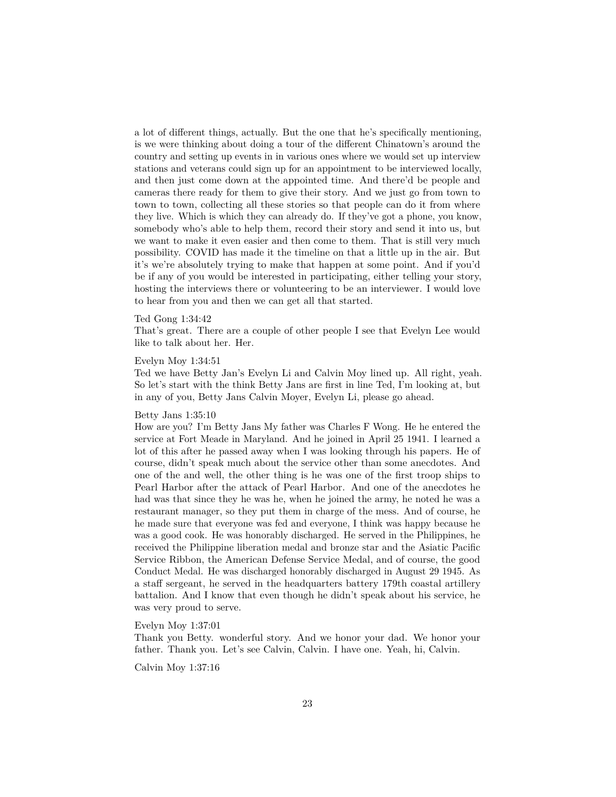a lot of different things, actually. But the one that he's specifically mentioning, is we were thinking about doing a tour of the different Chinatown's around the country and setting up events in in various ones where we would set up interview stations and veterans could sign up for an appointment to be interviewed locally, and then just come down at the appointed time. And there'd be people and cameras there ready for them to give their story. And we just go from town to town to town, collecting all these stories so that people can do it from where they live. Which is which they can already do. If they've got a phone, you know, somebody who's able to help them, record their story and send it into us, but we want to make it even easier and then come to them. That is still very much possibility. COVID has made it the timeline on that a little up in the air. But it's we're absolutely trying to make that happen at some point. And if you'd be if any of you would be interested in participating, either telling your story, hosting the interviews there or volunteering to be an interviewer. I would love to hear from you and then we can get all that started.

#### Ted Gong 1:34:42

That's great. There are a couple of other people I see that Evelyn Lee would like to talk about her. Her.

#### Evelyn Moy 1:34:51

Ted we have Betty Jan's Evelyn Li and Calvin Moy lined up. All right, yeah. So let's start with the think Betty Jans are first in line Ted, I'm looking at, but in any of you, Betty Jans Calvin Moyer, Evelyn Li, please go ahead.

# Betty Jans 1:35:10

How are you? I'm Betty Jans My father was Charles F Wong. He he entered the service at Fort Meade in Maryland. And he joined in April 25 1941. I learned a lot of this after he passed away when I was looking through his papers. He of course, didn't speak much about the service other than some anecdotes. And one of the and well, the other thing is he was one of the first troop ships to Pearl Harbor after the attack of Pearl Harbor. And one of the anecdotes he had was that since they he was he, when he joined the army, he noted he was a restaurant manager, so they put them in charge of the mess. And of course, he he made sure that everyone was fed and everyone, I think was happy because he was a good cook. He was honorably discharged. He served in the Philippines, he received the Philippine liberation medal and bronze star and the Asiatic Pacific Service Ribbon, the American Defense Service Medal, and of course, the good Conduct Medal. He was discharged honorably discharged in August 29 1945. As a staff sergeant, he served in the headquarters battery 179th coastal artillery battalion. And I know that even though he didn't speak about his service, he was very proud to serve.

# Evelyn Moy 1:37:01

Thank you Betty. wonderful story. And we honor your dad. We honor your father. Thank you. Let's see Calvin, Calvin. I have one. Yeah, hi, Calvin.

Calvin Moy 1:37:16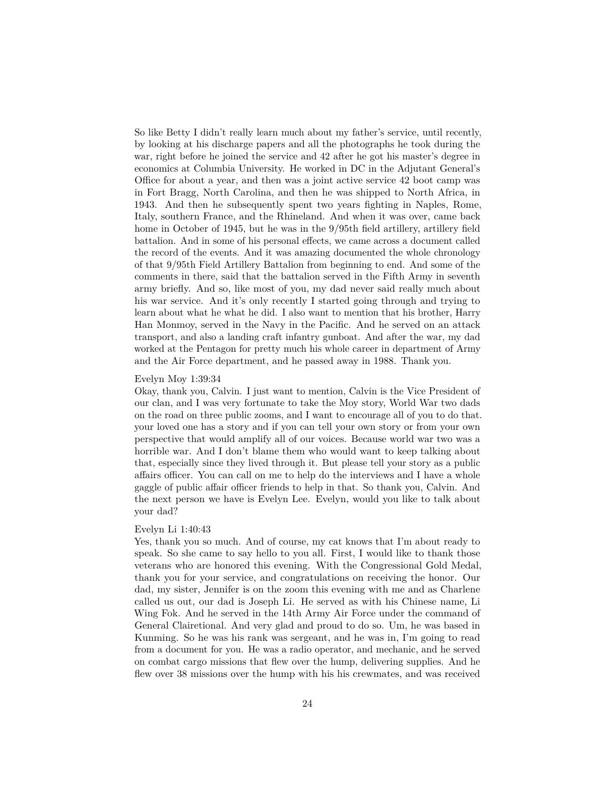So like Betty I didn't really learn much about my father's service, until recently, by looking at his discharge papers and all the photographs he took during the war, right before he joined the service and 42 after he got his master's degree in economics at Columbia University. He worked in DC in the Adjutant General's Office for about a year, and then was a joint active service 42 boot camp was in Fort Bragg, North Carolina, and then he was shipped to North Africa, in 1943. And then he subsequently spent two years fighting in Naples, Rome, Italy, southern France, and the Rhineland. And when it was over, came back home in October of 1945, but he was in the 9/95th field artillery, artillery field battalion. And in some of his personal effects, we came across a document called the record of the events. And it was amazing documented the whole chronology of that 9/95th Field Artillery Battalion from beginning to end. And some of the comments in there, said that the battalion served in the Fifth Army in seventh army briefly. And so, like most of you, my dad never said really much about his war service. And it's only recently I started going through and trying to learn about what he what he did. I also want to mention that his brother, Harry Han Monmoy, served in the Navy in the Pacific. And he served on an attack transport, and also a landing craft infantry gunboat. And after the war, my dad worked at the Pentagon for pretty much his whole career in department of Army and the Air Force department, and he passed away in 1988. Thank you.

#### Evelyn Moy 1:39:34

Okay, thank you, Calvin. I just want to mention, Calvin is the Vice President of our clan, and I was very fortunate to take the Moy story, World War two dads on the road on three public zooms, and I want to encourage all of you to do that. your loved one has a story and if you can tell your own story or from your own perspective that would amplify all of our voices. Because world war two was a horrible war. And I don't blame them who would want to keep talking about that, especially since they lived through it. But please tell your story as a public affairs officer. You can call on me to help do the interviews and I have a whole gaggle of public affair officer friends to help in that. So thank you, Calvin. And the next person we have is Evelyn Lee. Evelyn, would you like to talk about your dad?

#### Evelyn Li 1:40:43

Yes, thank you so much. And of course, my cat knows that I'm about ready to speak. So she came to say hello to you all. First, I would like to thank those veterans who are honored this evening. With the Congressional Gold Medal, thank you for your service, and congratulations on receiving the honor. Our dad, my sister, Jennifer is on the zoom this evening with me and as Charlene called us out, our dad is Joseph Li. He served as with his Chinese name, Li Wing Fok. And he served in the 14th Army Air Force under the command of General Clairetional. And very glad and proud to do so. Um, he was based in Kunming. So he was his rank was sergeant, and he was in, I'm going to read from a document for you. He was a radio operator, and mechanic, and he served on combat cargo missions that flew over the hump, delivering supplies. And he flew over 38 missions over the hump with his his crewmates, and was received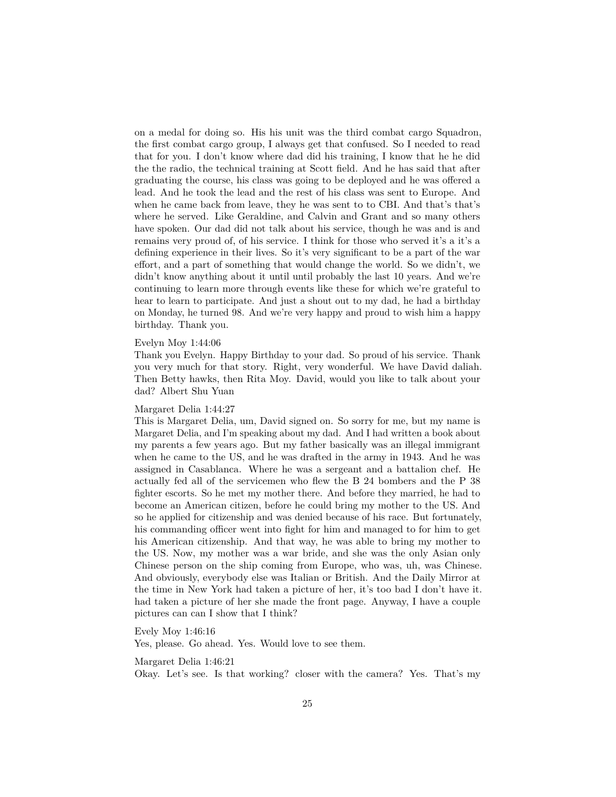on a medal for doing so. His his unit was the third combat cargo Squadron, the first combat cargo group, I always get that confused. So I needed to read that for you. I don't know where dad did his training, I know that he he did the the radio, the technical training at Scott field. And he has said that after graduating the course, his class was going to be deployed and he was offered a lead. And he took the lead and the rest of his class was sent to Europe. And when he came back from leave, they he was sent to to CBI. And that's that's where he served. Like Geraldine, and Calvin and Grant and so many others have spoken. Our dad did not talk about his service, though he was and is and remains very proud of, of his service. I think for those who served it's a it's a defining experience in their lives. So it's very significant to be a part of the war effort, and a part of something that would change the world. So we didn't, we didn't know anything about it until until probably the last 10 years. And we're continuing to learn more through events like these for which we're grateful to hear to learn to participate. And just a shout out to my dad, he had a birthday on Monday, he turned 98. And we're very happy and proud to wish him a happy birthday. Thank you.

#### Evelyn Moy 1:44:06

Thank you Evelyn. Happy Birthday to your dad. So proud of his service. Thank you very much for that story. Right, very wonderful. We have David daliah. Then Betty hawks, then Rita Moy. David, would you like to talk about your dad? Albert Shu Yuan

### Margaret Delia 1:44:27

This is Margaret Delia, um, David signed on. So sorry for me, but my name is Margaret Delia, and I'm speaking about my dad. And I had written a book about my parents a few years ago. But my father basically was an illegal immigrant when he came to the US, and he was drafted in the army in 1943. And he was assigned in Casablanca. Where he was a sergeant and a battalion chef. He actually fed all of the servicemen who flew the B 24 bombers and the P 38 fighter escorts. So he met my mother there. And before they married, he had to become an American citizen, before he could bring my mother to the US. And so he applied for citizenship and was denied because of his race. But fortunately, his commanding officer went into fight for him and managed to for him to get his American citizenship. And that way, he was able to bring my mother to the US. Now, my mother was a war bride, and she was the only Asian only Chinese person on the ship coming from Europe, who was, uh, was Chinese. And obviously, everybody else was Italian or British. And the Daily Mirror at the time in New York had taken a picture of her, it's too bad I don't have it. had taken a picture of her she made the front page. Anyway, I have a couple pictures can can I show that I think?

Evely Moy 1:46:16

Yes, please. Go ahead. Yes. Would love to see them.

Margaret Delia 1:46:21

Okay. Let's see. Is that working? closer with the camera? Yes. That's my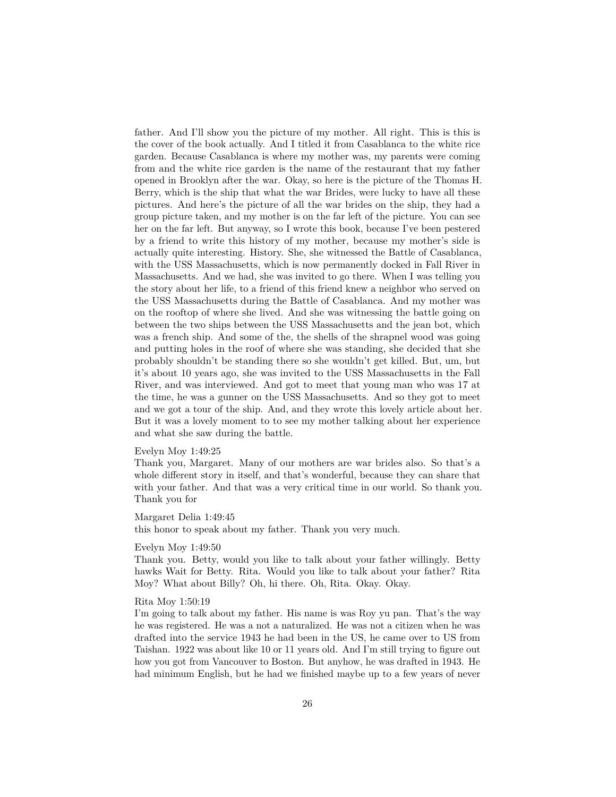father. And I'll show you the picture of my mother. All right. This is this is the cover of the book actually. And I titled it from Casablanca to the white rice garden. Because Casablanca is where my mother was, my parents were coming from and the white rice garden is the name of the restaurant that my father opened in Brooklyn after the war. Okay, so here is the picture of the Thomas H. Berry, which is the ship that what the war Brides, were lucky to have all these pictures. And here's the picture of all the war brides on the ship, they had a group picture taken, and my mother is on the far left of the picture. You can see her on the far left. But anyway, so I wrote this book, because I've been pestered by a friend to write this history of my mother, because my mother's side is actually quite interesting. History. She, she witnessed the Battle of Casablanca, with the USS Massachusetts, which is now permanently docked in Fall River in Massachusetts. And we had, she was invited to go there. When I was telling you the story about her life, to a friend of this friend knew a neighbor who served on the USS Massachusetts during the Battle of Casablanca. And my mother was on the rooftop of where she lived. And she was witnessing the battle going on between the two ships between the USS Massachusetts and the jean bot, which was a french ship. And some of the, the shells of the shrapnel wood was going and putting holes in the roof of where she was standing, she decided that she probably shouldn't be standing there so she wouldn't get killed. But, um, but it's about 10 years ago, she was invited to the USS Massachusetts in the Fall River, and was interviewed. And got to meet that young man who was 17 at the time, he was a gunner on the USS Massachusetts. And so they got to meet and we got a tour of the ship. And, and they wrote this lovely article about her. But it was a lovely moment to to see my mother talking about her experience and what she saw during the battle.

#### Evelyn Moy 1:49:25

Thank you, Margaret. Many of our mothers are war brides also. So that's a whole different story in itself, and that's wonderful, because they can share that with your father. And that was a very critical time in our world. So thank you. Thank you for

#### Margaret Delia 1:49:45

this honor to speak about my father. Thank you very much.

## Evelyn Moy 1:49:50

Thank you. Betty, would you like to talk about your father willingly. Betty hawks Wait for Betty. Rita. Would you like to talk about your father? Rita Moy? What about Billy? Oh, hi there. Oh, Rita. Okay. Okay.

#### Rita Moy 1:50:19

I'm going to talk about my father. His name is was Roy yu pan. That's the way he was registered. He was a not a naturalized. He was not a citizen when he was drafted into the service 1943 he had been in the US, he came over to US from Taishan. 1922 was about like 10 or 11 years old. And I'm still trying to figure out how you got from Vancouver to Boston. But anyhow, he was drafted in 1943. He had minimum English, but he had we finished maybe up to a few years of never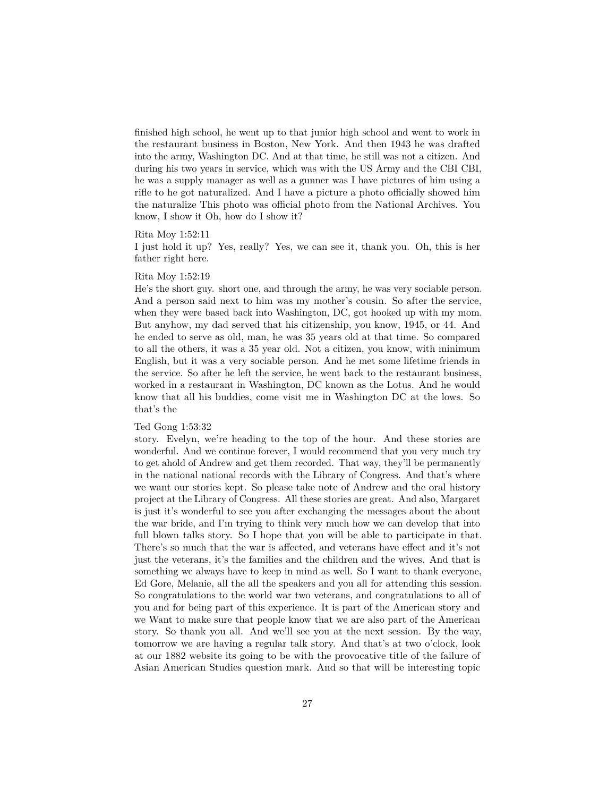finished high school, he went up to that junior high school and went to work in the restaurant business in Boston, New York. And then 1943 he was drafted into the army, Washington DC. And at that time, he still was not a citizen. And during his two years in service, which was with the US Army and the CBI CBI, he was a supply manager as well as a gunner was I have pictures of him using a rifle to he got naturalized. And I have a picture a photo officially showed him the naturalize This photo was official photo from the National Archives. You know, I show it Oh, how do I show it?

#### Rita Moy 1:52:11

I just hold it up? Yes, really? Yes, we can see it, thank you. Oh, this is her father right here.

## Rita Moy 1:52:19

He's the short guy. short one, and through the army, he was very sociable person. And a person said next to him was my mother's cousin. So after the service, when they were based back into Washington, DC, got hooked up with my mom. But anyhow, my dad served that his citizenship, you know, 1945, or 44. And he ended to serve as old, man, he was 35 years old at that time. So compared to all the others, it was a 35 year old. Not a citizen, you know, with minimum English, but it was a very sociable person. And he met some lifetime friends in the service. So after he left the service, he went back to the restaurant business, worked in a restaurant in Washington, DC known as the Lotus. And he would know that all his buddies, come visit me in Washington DC at the lows. So that's the

#### Ted Gong 1:53:32

story. Evelyn, we're heading to the top of the hour. And these stories are wonderful. And we continue forever, I would recommend that you very much try to get ahold of Andrew and get them recorded. That way, they'll be permanently in the national national records with the Library of Congress. And that's where we want our stories kept. So please take note of Andrew and the oral history project at the Library of Congress. All these stories are great. And also, Margaret is just it's wonderful to see you after exchanging the messages about the about the war bride, and I'm trying to think very much how we can develop that into full blown talks story. So I hope that you will be able to participate in that. There's so much that the war is affected, and veterans have effect and it's not just the veterans, it's the families and the children and the wives. And that is something we always have to keep in mind as well. So I want to thank everyone, Ed Gore, Melanie, all the all the speakers and you all for attending this session. So congratulations to the world war two veterans, and congratulations to all of you and for being part of this experience. It is part of the American story and we Want to make sure that people know that we are also part of the American story. So thank you all. And we'll see you at the next session. By the way, tomorrow we are having a regular talk story. And that's at two o'clock, look at our 1882 website its going to be with the provocative title of the failure of Asian American Studies question mark. And so that will be interesting topic